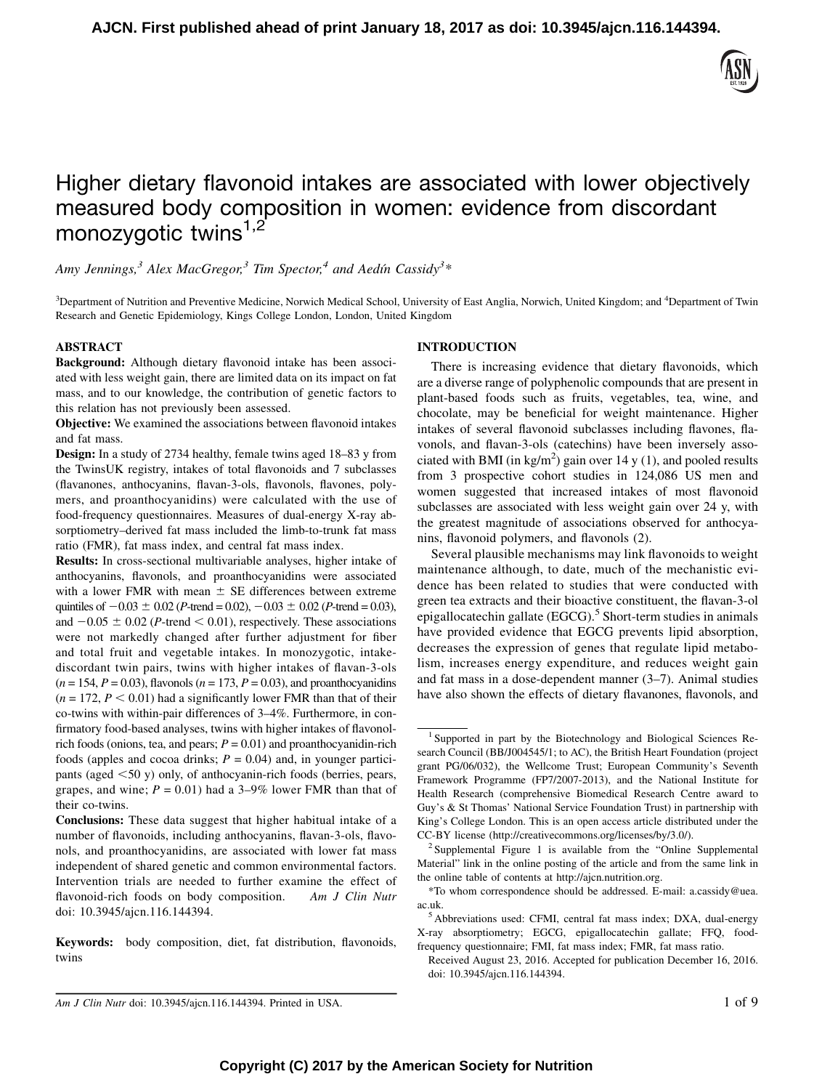

# Higher dietary flavonoid intakes are associated with lower objectively measured body composition in women: evidence from discordant monozygotic twins<sup>1,2</sup>

Amy Jennings,<sup>3</sup> Alex MacGregor,<sup>3</sup> Tim Spector,<sup>4</sup> and Aedín Cassidy<sup>3</sup>\*

<sup>3</sup>Department of Nutrition and Preventive Medicine, Norwich Medical School, University of East Anglia, Norwich, United Kingdom; and <sup>4</sup>Department of Twin Research and Genetic Epidemiology, Kings College London, London, United Kingdom

#### ABSTRACT

Background: Although dietary flavonoid intake has been associated with less weight gain, there are limited data on its impact on fat mass, and to our knowledge, the contribution of genetic factors to this relation has not previously been assessed.

Objective: We examined the associations between flavonoid intakes and fat mass.

Design: In a study of 2734 healthy, female twins aged 18–83 y from the TwinsUK registry, intakes of total flavonoids and 7 subclasses (flavanones, anthocyanins, flavan-3-ols, flavonols, flavones, polymers, and proanthocyanidins) were calculated with the use of food-frequency questionnaires. Measures of dual-energy X-ray absorptiometry–derived fat mass included the limb-to-trunk fat mass ratio (FMR), fat mass index, and central fat mass index.

Results: In cross-sectional multivariable analyses, higher intake of anthocyanins, flavonols, and proanthocyanidins were associated with a lower FMR with mean  $\pm$  SE differences between extreme quintiles of  $-0.03 \pm 0.02$  (*P*-trend = 0.02),  $-0.03 \pm 0.02$  (*P*-trend = 0.03), and  $-0.05 \pm 0.02$  (*P*-trend < 0.01), respectively. These associations were not markedly changed after further adjustment for fiber and total fruit and vegetable intakes. In monozygotic, intakediscordant twin pairs, twins with higher intakes of flavan-3-ols  $(n = 154, P = 0.03)$ , flavonols  $(n = 173, P = 0.03)$ , and proanthocyanidins  $(n = 172, P < 0.01)$  had a significantly lower FMR than that of their co-twins with within-pair differences of 3–4%. Furthermore, in confirmatory food-based analyses, twins with higher intakes of flavonolrich foods (onions, tea, and pears;  $P = 0.01$ ) and proanthocyanidin-rich foods (apples and cocoa drinks;  $P = 0.04$ ) and, in younger participants (aged <50 y) only, of anthocyanin-rich foods (berries, pears, grapes, and wine;  $P = 0.01$ ) had a 3–9% lower FMR than that of their co-twins.

Conclusions: These data suggest that higher habitual intake of a number of flavonoids, including anthocyanins, flavan-3-ols, flavonols, and proanthocyanidins, are associated with lower fat mass independent of shared genetic and common environmental factors. Intervention trials are needed to further examine the effect of flavonoid-rich foods on body composition. Am J Clin Nutr doi: 10.3945/ajcn.116.144394.

Keywords: body composition, diet, fat distribution, flavonoids, twins

## INTRODUCTION

There is increasing evidence that dietary flavonoids, which are a diverse range of polyphenolic compounds that are present in plant-based foods such as fruits, vegetables, tea, wine, and chocolate, may be beneficial for weight maintenance. Higher intakes of several flavonoid subclasses including flavones, flavonols, and flavan-3-ols (catechins) have been inversely associated with BMI (in kg/m<sup>2</sup>) gain over 14 y (1), and pooled results from 3 prospective cohort studies in 124,086 US men and women suggested that increased intakes of most flavonoid subclasses are associated with less weight gain over 24 y, with the greatest magnitude of associations observed for anthocyanins, flavonoid polymers, and flavonols (2).

Several plausible mechanisms may link flavonoids to weight maintenance although, to date, much of the mechanistic evidence has been related to studies that were conducted with green tea extracts and their bioactive constituent, the flavan-3-ol epigallocatechin gallate  $(EGCG)$ .<sup>5</sup> Short-term studies in animals have provided evidence that EGCG prevents lipid absorption, decreases the expression of genes that regulate lipid metabolism, increases energy expenditure, and reduces weight gain and fat mass in a dose-dependent manner (3–7). Animal studies have also shown the effects of dietary flavanones, flavonols, and

<sup>&</sup>lt;sup>1</sup> Supported in part by the Biotechnology and Biological Sciences Research Council (BB/J004545/1; to AC), the British Heart Foundation (project grant PG/06/032), the Wellcome Trust; European Community's Seventh Framework Programme (FP7/2007-2013), and the National Institute for Health Research (comprehensive Biomedical Research Centre award to Guy's & St Thomas' National Service Foundation Trust) in partnership with King's College London. This is an open access article distributed under the

CC-BY license (http://creativecommons.org/licenses/by/3.0/). <sup>2</sup> Supplemental Figure 1 is available from the "Online Supplemental Material" link in the online posting of the article and from the same link in the online table of contents at http://ajcn.nutrition.org.

<sup>\*</sup>To whom correspondence should be addressed. E-mail: a.cassidy@uea. ac.uk.

<sup>5</sup> Abbreviations used: CFMI, central fat mass index; DXA, dual-energy X-ray absorptiometry; EGCG, epigallocatechin gallate; FFQ, foodfrequency questionnaire; FMI, fat mass index; FMR, fat mass ratio.

Received August 23, 2016. Accepted for publication December 16, 2016. doi: 10.3945/ajcn.116.144394.

Am J Clin Nutr doi: 10.3945/ajcn.116.144394. Printed in USA. 1 of 9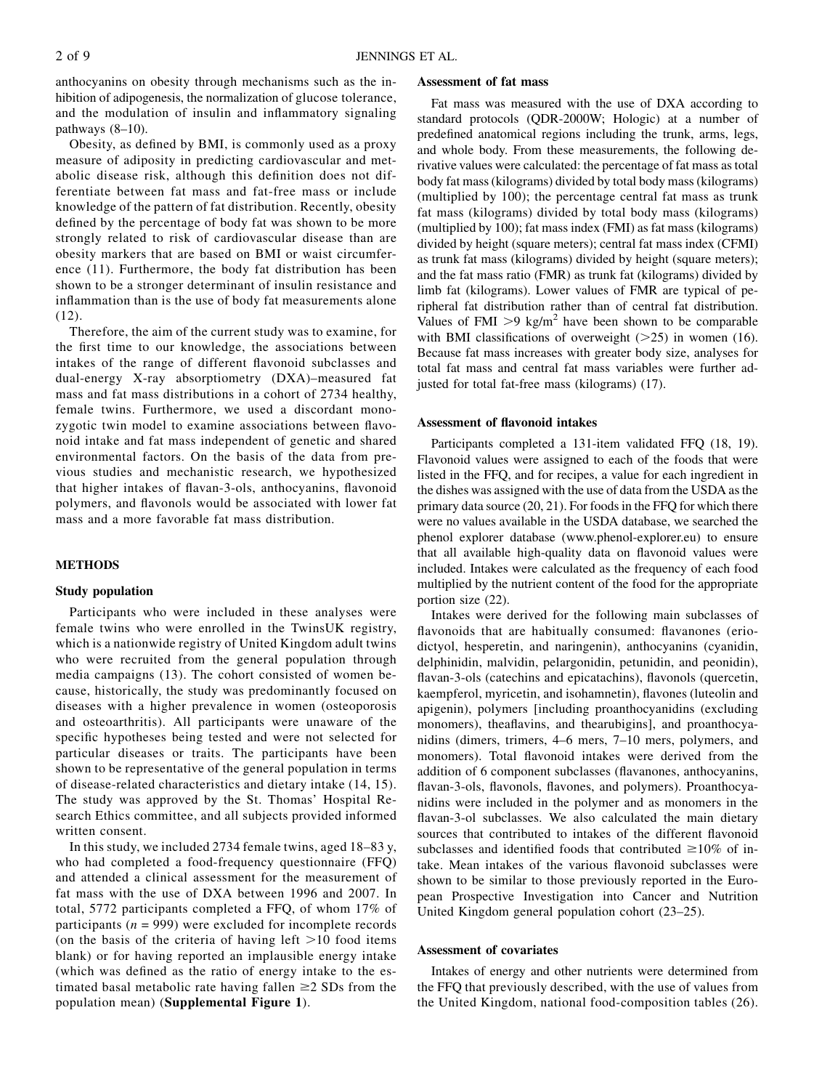anthocyanins on obesity through mechanisms such as the inhibition of adipogenesis, the normalization of glucose tolerance, and the modulation of insulin and inflammatory signaling pathways (8–10).

Obesity, as defined by BMI, is commonly used as a proxy measure of adiposity in predicting cardiovascular and metabolic disease risk, although this definition does not differentiate between fat mass and fat-free mass or include knowledge of the pattern of fat distribution. Recently, obesity defined by the percentage of body fat was shown to be more strongly related to risk of cardiovascular disease than are obesity markers that are based on BMI or waist circumference (11). Furthermore, the body fat distribution has been shown to be a stronger determinant of insulin resistance and inflammation than is the use of body fat measurements alone (12).

Therefore, the aim of the current study was to examine, for the first time to our knowledge, the associations between intakes of the range of different flavonoid subclasses and dual-energy X-ray absorptiometry (DXA)–measured fat mass and fat mass distributions in a cohort of 2734 healthy, female twins. Furthermore, we used a discordant monozygotic twin model to examine associations between flavonoid intake and fat mass independent of genetic and shared environmental factors. On the basis of the data from previous studies and mechanistic research, we hypothesized that higher intakes of flavan-3-ols, anthocyanins, flavonoid polymers, and flavonols would be associated with lower fat mass and a more favorable fat mass distribution.

#### **METHODS**

#### Study population

Participants who were included in these analyses were female twins who were enrolled in the TwinsUK registry, which is a nationwide registry of United Kingdom adult twins who were recruited from the general population through media campaigns (13). The cohort consisted of women because, historically, the study was predominantly focused on diseases with a higher prevalence in women (osteoporosis and osteoarthritis). All participants were unaware of the specific hypotheses being tested and were not selected for particular diseases or traits. The participants have been shown to be representative of the general population in terms of disease-related characteristics and dietary intake (14, 15). The study was approved by the St. Thomas' Hospital Research Ethics committee, and all subjects provided informed written consent.

In this study, we included 2734 female twins, aged 18–83 y, who had completed a food-frequency questionnaire (FFQ) and attended a clinical assessment for the measurement of fat mass with the use of DXA between 1996 and 2007. In total, 5772 participants completed a FFQ, of whom 17% of participants ( $n = 999$ ) were excluded for incomplete records (on the basis of the criteria of having left  $>10$  food items blank) or for having reported an implausible energy intake (which was defined as the ratio of energy intake to the estimated basal metabolic rate having fallen  $\geq$  2 SDs from the population mean) (Supplemental Figure 1).

#### Assessment of fat mass

Fat mass was measured with the use of DXA according to standard protocols (QDR-2000W; Hologic) at a number of predefined anatomical regions including the trunk, arms, legs, and whole body. From these measurements, the following derivative values were calculated: the percentage of fat mass as total body fat mass (kilograms) divided by total body mass (kilograms) (multiplied by 100); the percentage central fat mass as trunk fat mass (kilograms) divided by total body mass (kilograms) (multiplied by 100); fat mass index (FMI) as fat mass (kilograms) divided by height (square meters); central fat mass index (CFMI) as trunk fat mass (kilograms) divided by height (square meters); and the fat mass ratio (FMR) as trunk fat (kilograms) divided by limb fat (kilograms). Lower values of FMR are typical of peripheral fat distribution rather than of central fat distribution. Values of FMI  $>9$  kg/m<sup>2</sup> have been shown to be comparable with BMI classifications of overweight  $(>=25)$  in women (16). Because fat mass increases with greater body size, analyses for total fat mass and central fat mass variables were further adjusted for total fat-free mass (kilograms) (17).

#### Assessment of flavonoid intakes

Participants completed a 131-item validated FFQ (18, 19). Flavonoid values were assigned to each of the foods that were listed in the FFQ, and for recipes, a value for each ingredient in the dishes was assigned with the use of data from the USDA as the primary data source (20, 21). For foods in the FFQ for which there were no values available in the USDA database, we searched the phenol explorer database (www.phenol-explorer.eu) to ensure that all available high-quality data on flavonoid values were included. Intakes were calculated as the frequency of each food multiplied by the nutrient content of the food for the appropriate portion size (22).

Intakes were derived for the following main subclasses of flavonoids that are habitually consumed: flavanones (eriodictyol, hesperetin, and naringenin), anthocyanins (cyanidin, delphinidin, malvidin, pelargonidin, petunidin, and peonidin), flavan-3-ols (catechins and epicatachins), flavonols (quercetin, kaempferol, myricetin, and isohamnetin), flavones (luteolin and apigenin), polymers [including proanthocyanidins (excluding monomers), theaflavins, and thearubigins], and proanthocyanidins (dimers, trimers, 4–6 mers, 7–10 mers, polymers, and monomers). Total flavonoid intakes were derived from the addition of 6 component subclasses (flavanones, anthocyanins, flavan-3-ols, flavonols, flavones, and polymers). Proanthocyanidins were included in the polymer and as monomers in the flavan-3-ol subclasses. We also calculated the main dietary sources that contributed to intakes of the different flavonoid subclasses and identified foods that contributed  $\geq 10\%$  of intake. Mean intakes of the various flavonoid subclasses were shown to be similar to those previously reported in the European Prospective Investigation into Cancer and Nutrition United Kingdom general population cohort (23–25).

#### Assessment of covariates

Intakes of energy and other nutrients were determined from the FFQ that previously described, with the use of values from the United Kingdom, national food-composition tables (26).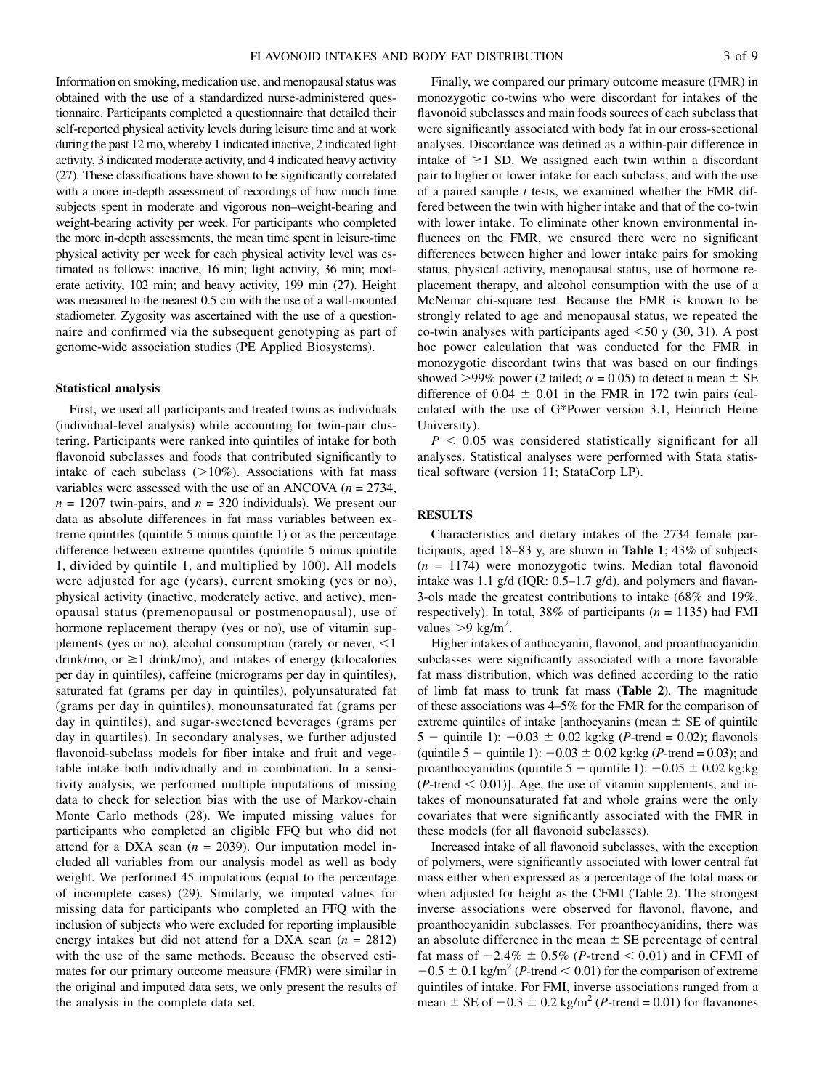Information on smoking, medication use, and menopausal status was obtained with the use of a standardized nurse-administered questionnaire. Participants completed a questionnaire that detailed their self-reported physical activity levels during leisure time and at work during the past 12 mo, whereby 1 indicated inactive, 2 indicated light activity, 3 indicated moderate activity, and 4 indicated heavy activity (27). These classifications have shown to be significantly correlated with a more in-depth assessment of recordings of how much time subjects spent in moderate and vigorous non–weight-bearing and weight-bearing activity per week. For participants who completed the more in-depth assessments, the mean time spent in leisure-time physical activity per week for each physical activity level was estimated as follows: inactive, 16 min; light activity, 36 min; moderate activity, 102 min; and heavy activity, 199 min (27). Height was measured to the nearest 0.5 cm with the use of a wall-mounted stadiometer. Zygosity was ascertained with the use of a questionnaire and confirmed via the subsequent genotyping as part of genome-wide association studies (PE Applied Biosystems).

#### Statistical analysis

First, we used all participants and treated twins as individuals (individual-level analysis) while accounting for twin-pair clustering. Participants were ranked into quintiles of intake for both flavonoid subclasses and foods that contributed significantly to intake of each subclass  $(>10\%)$ . Associations with fat mass variables were assessed with the use of an ANCOVA ( $n = 2734$ ,  $n = 1207$  twin-pairs, and  $n = 320$  individuals). We present our data as absolute differences in fat mass variables between extreme quintiles (quintile 5 minus quintile 1) or as the percentage difference between extreme quintiles (quintile 5 minus quintile 1, divided by quintile 1, and multiplied by 100). All models were adjusted for age (years), current smoking (yes or no), physical activity (inactive, moderately active, and active), menopausal status (premenopausal or postmenopausal), use of hormone replacement therapy (yes or no), use of vitamin supplements (yes or no), alcohol consumption (rarely or never,  $\leq$ 1 drink/mo, or  $\geq$ 1 drink/mo), and intakes of energy (kilocalories per day in quintiles), caffeine (micrograms per day in quintiles), saturated fat (grams per day in quintiles), polyunsaturated fat (grams per day in quintiles), monounsaturated fat (grams per day in quintiles), and sugar-sweetened beverages (grams per day in quartiles). In secondary analyses, we further adjusted flavonoid-subclass models for fiber intake and fruit and vegetable intake both individually and in combination. In a sensitivity analysis, we performed multiple imputations of missing data to check for selection bias with the use of Markov-chain Monte Carlo methods (28). We imputed missing values for participants who completed an eligible FFQ but who did not attend for a DXA scan  $(n = 2039)$ . Our imputation model included all variables from our analysis model as well as body weight. We performed 45 imputations (equal to the percentage of incomplete cases) (29). Similarly, we imputed values for missing data for participants who completed an FFQ with the inclusion of subjects who were excluded for reporting implausible energy intakes but did not attend for a DXA scan  $(n = 2812)$ with the use of the same methods. Because the observed estimates for our primary outcome measure (FMR) were similar in the original and imputed data sets, we only present the results of the analysis in the complete data set.

Finally, we compared our primary outcome measure (FMR) in monozygotic co-twins who were discordant for intakes of the flavonoid subclasses and main foods sources of each subclass that were significantly associated with body fat in our cross-sectional analyses. Discordance was defined as a within-pair difference in intake of  $\geq$ 1 SD. We assigned each twin within a discordant pair to higher or lower intake for each subclass, and with the use of a paired sample  $t$  tests, we examined whether the FMR differed between the twin with higher intake and that of the co-twin with lower intake. To eliminate other known environmental influences on the FMR, we ensured there were no significant differences between higher and lower intake pairs for smoking status, physical activity, menopausal status, use of hormone replacement therapy, and alcohol consumption with the use of a McNemar chi-square test. Because the FMR is known to be strongly related to age and menopausal status, we repeated the co-twin analyses with participants aged  $\leq 50$  y (30, 31). A post hoc power calculation that was conducted for the FMR in monozygotic discordant twins that was based on our findings showed >99% power (2 tailed;  $\alpha$  = 0.05) to detect a mean  $\pm$  SE difference of  $0.04 \pm 0.01$  in the FMR in 172 twin pairs (calculated with the use of G\*Power version 3.1, Heinrich Heine University).

 $P < 0.05$  was considered statistically significant for all analyses. Statistical analyses were performed with Stata statistical software (version 11; StataCorp LP).

#### RESULTS

Characteristics and dietary intakes of the 2734 female participants, aged 18–83 y, are shown in Table 1; 43% of subjects  $(n = 1174)$  were monozygotic twins. Median total flavonoid intake was 1.1  $g/d$  (IQR: 0.5–1.7  $g/d$ ), and polymers and flavan-3-ols made the greatest contributions to intake (68% and 19%, respectively). In total, 38% of participants ( $n = 1135$ ) had FMI values  $>9$  kg/m<sup>2</sup>.

Higher intakes of anthocyanin, flavonol, and proanthocyanidin subclasses were significantly associated with a more favorable fat mass distribution, which was defined according to the ratio of limb fat mass to trunk fat mass (Table 2). The magnitude of these associations was 4–5% for the FMR for the comparison of extreme quintiles of intake [anthocyanins (mean  $\pm$  SE of quintile 5 - quintile 1):  $-0.03 \pm 0.02$  kg:kg (*P*-trend = 0.02); flavonols (quintile  $5 -$  quintile 1):  $-0.03 \pm 0.02$  kg:kg (*P*-trend = 0.03); and proanthocyanidins (quintile  $5 -$  quintile 1):  $-0.05 \pm 0.02$  kg:kg  $(P$ -trend  $\leq 0.01$ ]. Age, the use of vitamin supplements, and intakes of monounsaturated fat and whole grains were the only covariates that were significantly associated with the FMR in these models (for all flavonoid subclasses).

Increased intake of all flavonoid subclasses, with the exception of polymers, were significantly associated with lower central fat mass either when expressed as a percentage of the total mass or when adjusted for height as the CFMI (Table 2). The strongest inverse associations were observed for flavonol, flavone, and proanthocyanidin subclasses. For proanthocyanidins, there was an absolute difference in the mean  $\pm$  SE percentage of central fat mass of  $-2.4\% \pm 0.5\%$  (*P*-trend < 0.01) and in CFMI of  $-0.5 \pm 0.1$  kg/m<sup>2</sup> (*P*-trend < 0.01) for the comparison of extreme quintiles of intake. For FMI, inverse associations ranged from a mean  $\pm$  SE of  $-0.3 \pm 0.2$  kg/m<sup>2</sup> (*P*-trend = 0.01) for flavanones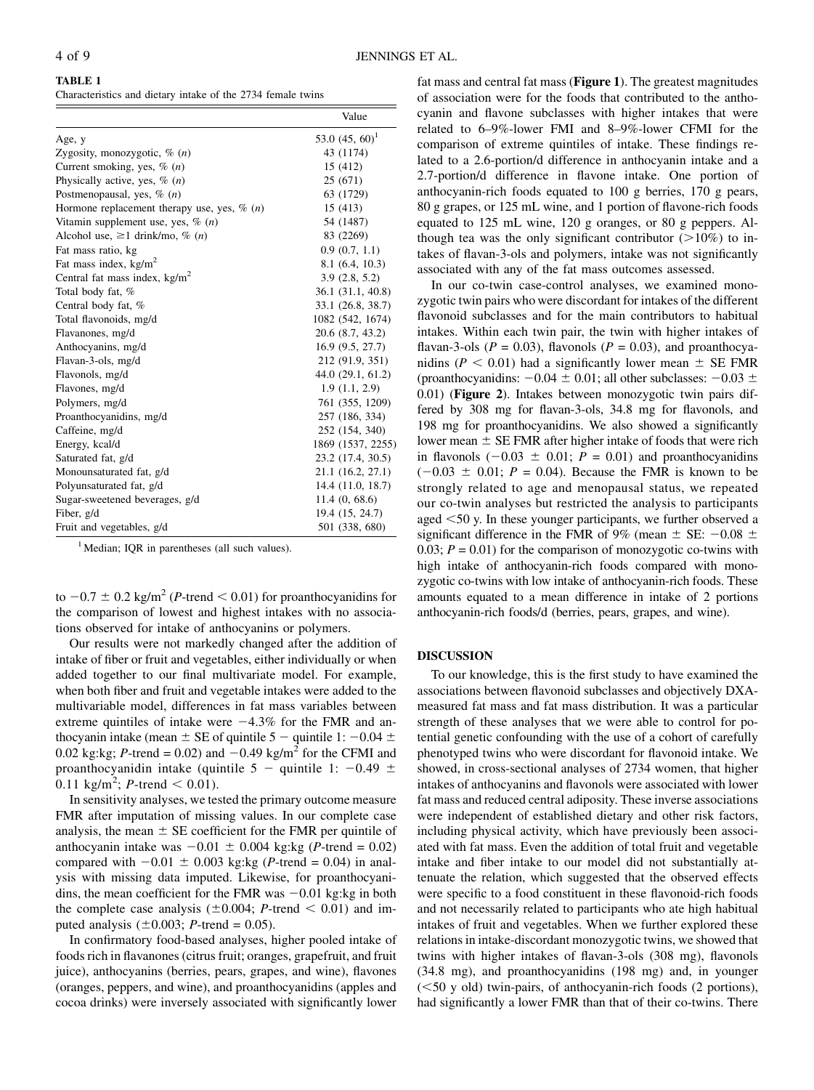| <b>TABLE 1</b> |  |
|----------------|--|
|----------------|--|

Characteristics and dietary intake of the 2734 female twins

|                                                | Value             |
|------------------------------------------------|-------------------|
| Age, y                                         | 53.0 $(45, 60)^1$ |
| Zygosity, monozygotic, $\%$ ( <i>n</i> )       | 43 (1174)         |
| Current smoking, yes, $\%$ ( <i>n</i> )        | 15 (412)          |
| Physically active, yes, $\%$ ( <i>n</i> )      | 25 (671)          |
| Postmenopausal, yes, $\%$ ( <i>n</i> )         | 63 (1729)         |
| Hormone replacement therapy use, yes, $\%$ (n) | 15 (413)          |
| Vitamin supplement use, yes, $\%$ ( <i>n</i> ) | 54 (1487)         |
| Alcohol use, $\geq 1$ drink/mo, % ( <i>n</i> ) | 83 (2269)         |
| Fat mass ratio, kg                             | 0.9(0.7, 1.1)     |
| Fat mass index, $\text{kg/m}^2$                | 8.1 (6.4, 10.3)   |
| Central fat mass index, $\text{kg/m}^2$        | 3.9(2.8, 5.2)     |
| Total body fat, %                              | 36.1 (31.1, 40.8) |
| Central body fat, %                            | 33.1 (26.8, 38.7) |
| Total flavonoids, mg/d                         | 1082 (542, 1674)  |
| Flavanones, mg/d                               | 20.6 (8.7, 43.2)  |
| Anthocyanins, mg/d                             | 16.9(9.5, 27.7)   |
| Flavan-3-ols, mg/d                             | 212 (91.9, 351)   |
| Flavonols, mg/d                                | 44.0 (29.1, 61.2) |
| Flavones, mg/d                                 | 1.9(1.1, 2.9)     |
| Polymers, mg/d                                 | 761 (355, 1209)   |
| Proanthocyanidins, mg/d                        | 257 (186, 334)    |
| Caffeine, mg/d                                 | 252 (154, 340)    |
| Energy, kcal/d                                 | 1869 (1537, 2255) |
| Saturated fat, g/d                             | 23.2 (17.4, 30.5) |
| Monounsaturated fat, g/d                       | 21.1 (16.2, 27.1) |
| Polyunsaturated fat, g/d                       | 14.4 (11.0, 18.7) |
| Sugar-sweetened beverages, g/d                 | 11.4(0, 68.6)     |
| Fiber, g/d                                     | 19.4 (15, 24.7)   |
| Fruit and vegetables, g/d                      | 501 (338, 680)    |

 $<sup>1</sup>$  Median; IQR in parentheses (all such values).</sup>

to  $-0.7 \pm 0.2$  kg/m<sup>2</sup> (*P*-trend < 0.01) for proanthocyanidins for the comparison of lowest and highest intakes with no associations observed for intake of anthocyanins or polymers.

Our results were not markedly changed after the addition of intake of fiber or fruit and vegetables, either individually or when added together to our final multivariate model. For example, when both fiber and fruit and vegetable intakes were added to the multivariable model, differences in fat mass variables between extreme quintiles of intake were  $-4.3\%$  for the FMR and anthocyanin intake (mean  $\pm$  SE of quintile 5 - quintile 1: -0.04  $\pm$ 0.02 kg:kg; P-trend = 0.02) and  $-0.49$  kg/m<sup>2</sup> for the CFMI and proanthocyanidin intake (quintile  $5 -$  quintile 1:  $-0.49 \pm$ 0.11 kg/m<sup>2</sup>; *P*-trend < 0.01).

In sensitivity analyses, we tested the primary outcome measure FMR after imputation of missing values. In our complete case analysis, the mean  $\pm$  SE coefficient for the FMR per quintile of anthocyanin intake was  $-0.01 \pm 0.004$  kg:kg (*P*-trend = 0.02) compared with  $-0.01 \pm 0.003$  kg:kg (*P*-trend = 0.04) in analysis with missing data imputed. Likewise, for proanthocyanidins, the mean coefficient for the FMR was  $-0.01$  kg:kg in both the complete case analysis ( $\pm 0.004$ ; P-trend < 0.01) and imputed analysis ( $\pm 0.003$ ; *P*-trend = 0.05).

In confirmatory food-based analyses, higher pooled intake of foods rich in flavanones (citrus fruit; oranges, grapefruit, and fruit juice), anthocyanins (berries, pears, grapes, and wine), flavones (oranges, peppers, and wine), and proanthocyanidins (apples and cocoa drinks) were inversely associated with significantly lower

fat mass and central fat mass (Figure 1). The greatest magnitudes of association were for the foods that contributed to the anthocyanin and flavone subclasses with higher intakes that were related to 6–9%-lower FMI and 8–9%-lower CFMI for the comparison of extreme quintiles of intake. These findings related to a 2.6-portion/d difference in anthocyanin intake and a 2.7-portion/d difference in flavone intake. One portion of anthocyanin-rich foods equated to 100 g berries, 170 g pears, 80 g grapes, or 125 mL wine, and 1 portion of flavone-rich foods equated to 125 mL wine, 120 g oranges, or 80 g peppers. Although tea was the only significant contributor  $(>10\%)$  to intakes of flavan-3-ols and polymers, intake was not significantly associated with any of the fat mass outcomes assessed.

In our co-twin case-control analyses, we examined monozygotic twin pairs who were discordant for intakes of the different flavonoid subclasses and for the main contributors to habitual intakes. Within each twin pair, the twin with higher intakes of flavan-3-ols ( $P = 0.03$ ), flavonols ( $P = 0.03$ ), and proanthocyanidins ( $P < 0.01$ ) had a significantly lower mean  $\pm$  SE FMR (proanthocyanidins:  $-0.04 \pm 0.01$ ; all other subclasses:  $-0.03 \pm 0.01$ 0.01) (Figure 2). Intakes between monozygotic twin pairs differed by 308 mg for flavan-3-ols, 34.8 mg for flavonols, and 198 mg for proanthocyanidins. We also showed a significantly lower mean  $\pm$  SE FMR after higher intake of foods that were rich in flavonols  $(-0.03 \pm 0.01; P = 0.01)$  and proanthocyanidins  $(-0.03 \pm 0.01; P = 0.04)$ . Because the FMR is known to be strongly related to age and menopausal status, we repeated our co-twin analyses but restricted the analysis to participants aged  $\leq 50$  y. In these younger participants, we further observed a significant difference in the FMR of 9% (mean  $\pm$  SE:  $-0.08 \pm$ 0.03;  $P = 0.01$ ) for the comparison of monozygotic co-twins with high intake of anthocyanin-rich foods compared with monozygotic co-twins with low intake of anthocyanin-rich foods. These amounts equated to a mean difference in intake of 2 portions anthocyanin-rich foods/d (berries, pears, grapes, and wine).

#### DISCUSSION

To our knowledge, this is the first study to have examined the associations between flavonoid subclasses and objectively DXAmeasured fat mass and fat mass distribution. It was a particular strength of these analyses that we were able to control for potential genetic confounding with the use of a cohort of carefully phenotyped twins who were discordant for flavonoid intake. We showed, in cross-sectional analyses of 2734 women, that higher intakes of anthocyanins and flavonols were associated with lower fat mass and reduced central adiposity. These inverse associations were independent of established dietary and other risk factors, including physical activity, which have previously been associated with fat mass. Even the addition of total fruit and vegetable intake and fiber intake to our model did not substantially attenuate the relation, which suggested that the observed effects were specific to a food constituent in these flavonoid-rich foods and not necessarily related to participants who ate high habitual intakes of fruit and vegetables. When we further explored these relations in intake-discordant monozygotic twins, we showed that twins with higher intakes of flavan-3-ols (308 mg), flavonols (34.8 mg), and proanthocyanidins (198 mg) and, in younger  $(<50$  y old) twin-pairs, of anthocyanin-rich foods  $(2 \text{ portions})$ , had significantly a lower FMR than that of their co-twins. There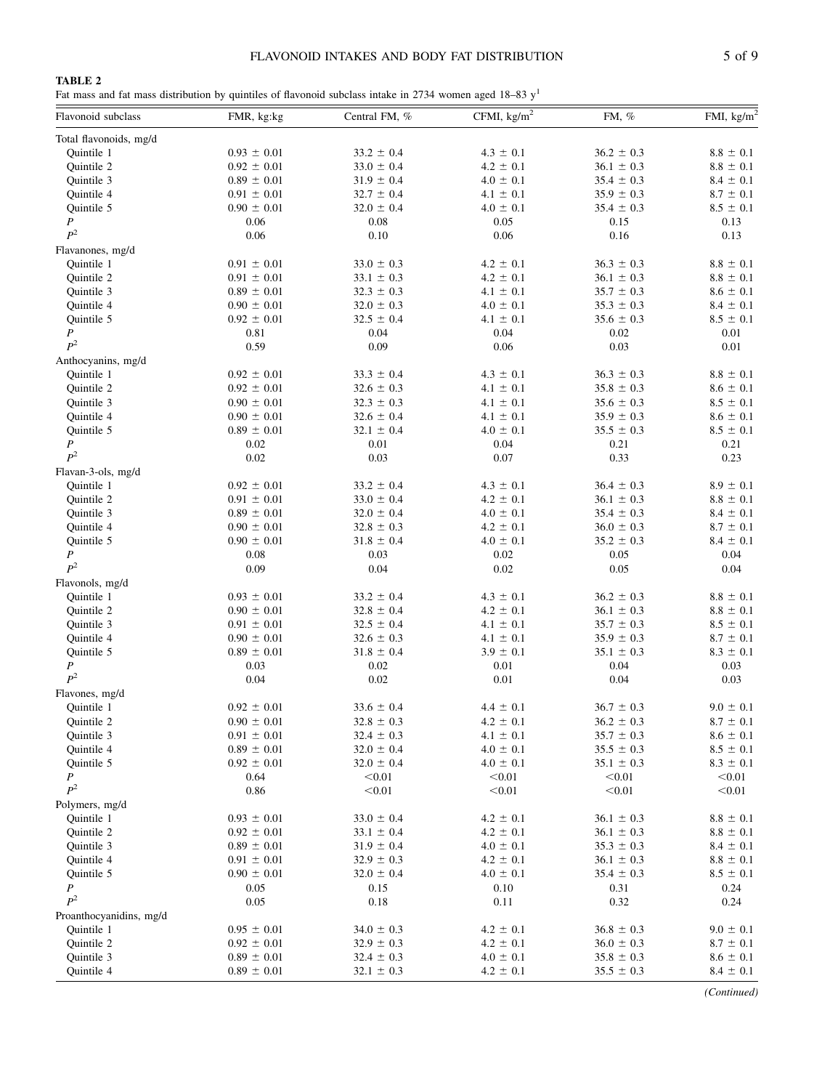# FLAVONOID INTAKES AND BODY FAT DISTRIBUTION 5 of 9

## TABLE 2

Fat mass and fat mass distribution by quintiles of flavonoid subclass intake in 2734 women aged 18–83  $y<sup>1</sup>$ 

| Total flavonoids, mg/d<br>$0.93 \pm 0.01$<br>$36.2 \pm 0.3$<br>$8.8 \pm 0.1$<br>Quintile 1<br>$33.2 \pm 0.4$<br>$4.3 \pm 0.1$<br>$4.2 \pm 0.1$<br>$8.8 \pm 0.1$<br>$0.92 \pm 0.01$<br>$33.0 \pm 0.4$<br>$36.1 \pm 0.3$<br>Quintile 2<br>Quintile 3<br>$0.89 \pm 0.01$<br>$31.9 \pm 0.4$<br>$4.0 \pm 0.1$<br>$35.4 \pm 0.3$<br>$8.4 \pm 0.1$<br>$8.7 \pm 0.1$<br>Quintile 4<br>$0.91 \pm 0.01$<br>$32.7 \pm 0.4$<br>$4.1 \pm 0.1$<br>$35.9 \pm 0.3$<br>$0.90 \pm 0.01$<br>$32.0 \pm 0.4$<br>$4.0 \pm 0.1$<br>$8.5 \pm 0.1$<br>Quintile 5<br>$35.4 \pm 0.3$<br>$\overline{P}$<br>0.06<br>0.08<br>0.05<br>0.15<br>0.13<br>$P^2$<br>0.06<br>0.10<br>0.06<br>0.16<br>0.13<br>Flavanones, mg/d<br>Quintile 1<br>$0.91 \pm 0.01$<br>$33.0 \pm 0.3$<br>$4.2 \pm 0.1$<br>$36.3 \pm 0.3$<br>$8.8 \pm 0.1$<br>$4.2 \pm 0.1$<br>$0.91 \pm 0.01$<br>$33.1 \pm 0.3$<br>$36.1 \pm 0.3$<br>$8.8 \pm 0.1$<br>Quintile 2<br>$4.1 \pm 0.1$<br>$35.7 \pm 0.3$<br>$8.6 \pm 0.1$<br>Quintile 3<br>$0.89 \pm 0.01$<br>$32.3 \pm 0.3$<br>$0.90 \pm 0.01$<br>$32.0 \pm 0.3$<br>$4.0 \pm 0.1$<br>$8.4 \pm 0.1$<br>Quintile 4<br>$35.3 \pm 0.3$<br>Quintile 5<br>$0.92 \pm 0.01$<br>$4.1 \pm 0.1$<br>$8.5 \pm 0.1$<br>$32.5 \pm 0.4$<br>$35.6 \pm 0.3$<br>P<br>0.81<br>0.04<br>0.04<br>0.02<br>0.01<br>$P^2$<br>0.03<br>0.59<br>0.09<br>0.06<br>0.01<br>Anthocyanins, mg/d<br>$0.92 \pm 0.01$<br>$33.3 \pm 0.4$<br>$4.3 \pm 0.1$<br>$36.3 \pm 0.3$<br>$8.8 \pm 0.1$<br>Quintile 1<br>$4.1 \pm 0.1$<br>$8.6 \pm 0.1$<br>Quintile 2<br>$0.92 \pm 0.01$<br>$32.6 \pm 0.3$<br>$35.8 \pm 0.3$<br>$32.3 \pm 0.3$<br>$4.1 \pm 0.1$<br>$8.5 \pm 0.1$<br>Quintile 3<br>$0.90 \pm 0.01$<br>$35.6 \pm 0.3$<br>$32.6 \pm 0.4$<br>$4.1 \pm 0.1$<br>$35.9 \pm 0.3$<br>$8.6 \pm 0.1$<br>Quintile 4<br>$0.90 \pm 0.01$<br>$0.89 \pm 0.01$<br>$32.1 \pm 0.4$<br>$4.0 \pm 0.1$<br>$35.5 \pm 0.3$<br>$8.5 \pm 0.1$<br>Quintile 5<br>0.21<br>$\boldsymbol{P}$<br>0.02<br>0.01<br>0.04<br>0.21<br>$P^2$<br>0.33<br>0.02<br>0.03<br>0.07<br>0.23<br>Flavan-3-ols, mg/d<br>$0.92 \pm 0.01$<br>$4.3 \pm 0.1$<br>$36.4 \pm 0.3$<br>$8.9 \pm 0.1$<br>Quintile 1<br>$33.2 \pm 0.4$<br>$4.2 \pm 0.1$<br>$0.91 \pm 0.01$<br>$33.0 \pm 0.4$<br>$36.1 \pm 0.3$<br>$8.8 \pm 0.1$<br><b>Ouintile 2</b><br>$8.4 \pm 0.1$<br>Quintile 3<br>$0.89 \pm 0.01$<br>$32.0 \pm 0.4$<br>$4.0 \pm 0.1$<br>$35.4 \pm 0.3$<br>Quintile 4<br>$32.8 \pm 0.3$<br>$4.2 \pm 0.1$<br>$36.0 \pm 0.3$<br>$8.7 \pm 0.1$<br>$0.90 \pm 0.01$<br>$4.0 \pm 0.1$<br>Quintile 5<br>$0.90 \pm 0.01$<br>$31.8 \pm 0.4$<br>$35.2 \pm 0.3$<br>$8.4 \pm 0.1$<br>0.04<br>P<br>0.08<br>0.03<br>0.02<br>0.05<br>$P^2$<br>0.09<br>0.04<br>0.02<br>0.05<br>0.04<br>Flavonols, mg/d<br>$0.93 \pm 0.01$<br>$4.3 \pm 0.1$<br>$36.2 \pm 0.3$<br>$8.8 \pm 0.1$<br>Quintile 1<br>$33.2 \pm 0.4$<br>$0.90 \pm 0.01$<br>$32.8 \pm 0.4$<br>$4.2 \pm 0.1$<br>$36.1 \pm 0.3$<br>$8.8 \pm 0.1$<br>Quintile 2<br>$0.91 \pm 0.01$<br>$32.5 \pm 0.4$<br>$4.1 \pm 0.1$<br>$8.5 \pm 0.1$<br>Quintile 3<br>$35.7 \pm 0.3$<br>Quintile 4<br>$32.6 \pm 0.3$<br>$4.1 \pm 0.1$<br>$35.9 \pm 0.3$<br>$8.7 \pm 0.1$<br>$0.90 \pm 0.01$<br>$0.89\,\pm\,0.01$<br>$31.8 \pm 0.4$<br>$3.9 \pm 0.1$<br>$8.3 \pm 0.1$<br>Quintile 5<br>$35.1 \pm 0.3$<br>P<br>0.03<br>0.02<br>0.01<br>0.04<br>0.03<br>$P^2$<br>0.04<br>0.02<br>0.01<br>0.04<br>0.03<br>Flavones, mg/d<br>Quintile 1<br>$0.92 \pm 0.01$<br>$33.6 \pm 0.4$<br>$4.4 \pm 0.1$<br>$36.7 \pm 0.3$<br>$9.0 \pm 0.1$<br>$32.8 \pm 0.3$<br>$4.2 \pm 0.1$<br>$8.7 \pm 0.1$<br>Quintile 2<br>$0.90 \pm 0.01$<br>$36.2 \pm 0.3$<br>Quintile 3<br>$0.91 \pm 0.01$<br>$32.4 \pm 0.3$<br>$4.1 \pm 0.1$<br>$35.7 \pm 0.3$<br>$8.6 \pm 0.1$<br>Quintile 4<br>$0.89 \pm 0.01$<br>$32.0 \pm 0.4$<br>$4.0 \pm 0.1$<br>$35.5\,\pm\,0.3$<br>$8.5 \pm 0.1$<br>$0.92 \pm 0.01$<br>$4.0 \pm 0.1$<br>$8.3 \pm 0.1$<br>Quintile 5<br>$32.0 \pm 0.4$<br>$35.1 \pm 0.3$<br>< 0.01<br>< 0.01<br>< 0.01<br>< 0.01<br>P<br>0.64<br>$P^2$<br>0.86<br>< 0.01<br>< 0.01<br>< 0.01<br>< 0.01<br>Polymers, mg/d<br>$0.93 \pm 0.01$<br>Quintile 1<br>$33.0 \pm 0.4$<br>$4.2 \pm 0.1$<br>$36.1 \pm 0.3$<br>$8.8 \pm 0.1$<br>$8.8 \pm 0.1$<br>Quintile 2<br>$0.92 \pm 0.01$<br>$33.1 \pm 0.4$<br>$4.2 \pm 0.1$<br>$36.1 \pm 0.3$<br>Quintile 3<br>$0.89 \pm 0.01$<br>$31.9 \pm 0.4$<br>$4.0 \pm 0.1$<br>$35.3 \pm 0.3$<br>$8.4 \pm 0.1$<br>Quintile 4<br>$0.91 \pm 0.01$<br>$32.9 \pm 0.3$<br>$4.2 \pm 0.1$<br>$36.1 \pm 0.3$<br>$8.8 \pm 0.1$<br>Quintile 5<br>$4.0 \pm 0.1$<br>$8.5 \pm 0.1$<br>$0.90 \pm 0.01$<br>$32.0 \pm 0.4$<br>$35.4 \pm 0.3$<br>P<br>0.05<br>$0.15\,$<br>$0.10\,$<br>0.31<br>0.24<br>$P^2$<br>0.24<br>0.05<br>0.18<br>0.11<br>0.32<br>Proanthocyanidins, mg/d<br>Quintile 1<br>$0.95 \pm 0.01$<br>$34.0 \pm 0.3$<br>$4.2 \pm 0.1$<br>$36.8 \pm 0.3$<br>$9.0 \pm 0.1$<br>Quintile 2<br>$32.9 \pm 0.3$<br>$4.2 \pm 0.1$<br>$36.0 \pm 0.3$<br>$8.7 \pm 0.1$<br>$0.92 \pm 0.01$<br>Quintile 3<br>$8.6 \pm 0.1$<br>$0.89 \pm 0.01$<br>$32.4 \pm 0.3$<br>$4.0 \pm 0.1$<br>$35.8 \pm 0.3$ | Flavonoid subclass | FMR, kg:kg      | Central FM, %  | CFMI, $kg/m2$ | FM, $\%$       | FMI, $kg/m2$  |
|-----------------------------------------------------------------------------------------------------------------------------------------------------------------------------------------------------------------------------------------------------------------------------------------------------------------------------------------------------------------------------------------------------------------------------------------------------------------------------------------------------------------------------------------------------------------------------------------------------------------------------------------------------------------------------------------------------------------------------------------------------------------------------------------------------------------------------------------------------------------------------------------------------------------------------------------------------------------------------------------------------------------------------------------------------------------------------------------------------------------------------------------------------------------------------------------------------------------------------------------------------------------------------------------------------------------------------------------------------------------------------------------------------------------------------------------------------------------------------------------------------------------------------------------------------------------------------------------------------------------------------------------------------------------------------------------------------------------------------------------------------------------------------------------------------------------------------------------------------------------------------------------------------------------------------------------------------------------------------------------------------------------------------------------------------------------------------------------------------------------------------------------------------------------------------------------------------------------------------------------------------------------------------------------------------------------------------------------------------------------------------------------------------------------------------------------------------------------------------------------------------------------------------------------------------------------------------------------------------------------------------------------------------------------------------------------------------------------------------------------------------------------------------------------------------------------------------------------------------------------------------------------------------------------------------------------------------------------------------------------------------------------------------------------------------------------------------------------------------------------------------------------------------------------------------------------------------------------------------------------------------------------------------------------------------------------------------------------------------------------------------------------------------------------------------------------------------------------------------------------------------------------------------------------------------------------------------------------------------------------------------------------------------------------------------------------------------------------------------------------------------------------------------------------------------------------------------------------------------------------------------------------------------------------------------------------------------------------------------------------------------------------------------------------------------------------------------------------------------------------------------------------------------------------------------------------------------------------------------------------------------------------------------------------------------------------------------------------------------------------------------------------------------------------------------------------------------------------------------------------------------------------------------------------------------------------------------------------------------------------------------------------------------------------------------------------------------------------------------------------------------------------------------------------------------------------------------------------------------------------------------------------------------------------------------------------------------------------------------------------------------|--------------------|-----------------|----------------|---------------|----------------|---------------|
|                                                                                                                                                                                                                                                                                                                                                                                                                                                                                                                                                                                                                                                                                                                                                                                                                                                                                                                                                                                                                                                                                                                                                                                                                                                                                                                                                                                                                                                                                                                                                                                                                                                                                                                                                                                                                                                                                                                                                                                                                                                                                                                                                                                                                                                                                                                                                                                                                                                                                                                                                                                                                                                                                                                                                                                                                                                                                                                                                                                                                                                                                                                                                                                                                                                                                                                                                                                                                                                                                                                                                                                                                                                                                                                                                                                                                                                                                                                                                                                                                                                                                                                                                                                                                                                                                                                                                                                                                                                                                                                                                                                                                                                                                                                                                                                                                                                                                                                                                                                                     |                    |                 |                |               |                |               |
|                                                                                                                                                                                                                                                                                                                                                                                                                                                                                                                                                                                                                                                                                                                                                                                                                                                                                                                                                                                                                                                                                                                                                                                                                                                                                                                                                                                                                                                                                                                                                                                                                                                                                                                                                                                                                                                                                                                                                                                                                                                                                                                                                                                                                                                                                                                                                                                                                                                                                                                                                                                                                                                                                                                                                                                                                                                                                                                                                                                                                                                                                                                                                                                                                                                                                                                                                                                                                                                                                                                                                                                                                                                                                                                                                                                                                                                                                                                                                                                                                                                                                                                                                                                                                                                                                                                                                                                                                                                                                                                                                                                                                                                                                                                                                                                                                                                                                                                                                                                                     |                    |                 |                |               |                |               |
|                                                                                                                                                                                                                                                                                                                                                                                                                                                                                                                                                                                                                                                                                                                                                                                                                                                                                                                                                                                                                                                                                                                                                                                                                                                                                                                                                                                                                                                                                                                                                                                                                                                                                                                                                                                                                                                                                                                                                                                                                                                                                                                                                                                                                                                                                                                                                                                                                                                                                                                                                                                                                                                                                                                                                                                                                                                                                                                                                                                                                                                                                                                                                                                                                                                                                                                                                                                                                                                                                                                                                                                                                                                                                                                                                                                                                                                                                                                                                                                                                                                                                                                                                                                                                                                                                                                                                                                                                                                                                                                                                                                                                                                                                                                                                                                                                                                                                                                                                                                                     |                    |                 |                |               |                |               |
|                                                                                                                                                                                                                                                                                                                                                                                                                                                                                                                                                                                                                                                                                                                                                                                                                                                                                                                                                                                                                                                                                                                                                                                                                                                                                                                                                                                                                                                                                                                                                                                                                                                                                                                                                                                                                                                                                                                                                                                                                                                                                                                                                                                                                                                                                                                                                                                                                                                                                                                                                                                                                                                                                                                                                                                                                                                                                                                                                                                                                                                                                                                                                                                                                                                                                                                                                                                                                                                                                                                                                                                                                                                                                                                                                                                                                                                                                                                                                                                                                                                                                                                                                                                                                                                                                                                                                                                                                                                                                                                                                                                                                                                                                                                                                                                                                                                                                                                                                                                                     |                    |                 |                |               |                |               |
|                                                                                                                                                                                                                                                                                                                                                                                                                                                                                                                                                                                                                                                                                                                                                                                                                                                                                                                                                                                                                                                                                                                                                                                                                                                                                                                                                                                                                                                                                                                                                                                                                                                                                                                                                                                                                                                                                                                                                                                                                                                                                                                                                                                                                                                                                                                                                                                                                                                                                                                                                                                                                                                                                                                                                                                                                                                                                                                                                                                                                                                                                                                                                                                                                                                                                                                                                                                                                                                                                                                                                                                                                                                                                                                                                                                                                                                                                                                                                                                                                                                                                                                                                                                                                                                                                                                                                                                                                                                                                                                                                                                                                                                                                                                                                                                                                                                                                                                                                                                                     |                    |                 |                |               |                |               |
|                                                                                                                                                                                                                                                                                                                                                                                                                                                                                                                                                                                                                                                                                                                                                                                                                                                                                                                                                                                                                                                                                                                                                                                                                                                                                                                                                                                                                                                                                                                                                                                                                                                                                                                                                                                                                                                                                                                                                                                                                                                                                                                                                                                                                                                                                                                                                                                                                                                                                                                                                                                                                                                                                                                                                                                                                                                                                                                                                                                                                                                                                                                                                                                                                                                                                                                                                                                                                                                                                                                                                                                                                                                                                                                                                                                                                                                                                                                                                                                                                                                                                                                                                                                                                                                                                                                                                                                                                                                                                                                                                                                                                                                                                                                                                                                                                                                                                                                                                                                                     |                    |                 |                |               |                |               |
|                                                                                                                                                                                                                                                                                                                                                                                                                                                                                                                                                                                                                                                                                                                                                                                                                                                                                                                                                                                                                                                                                                                                                                                                                                                                                                                                                                                                                                                                                                                                                                                                                                                                                                                                                                                                                                                                                                                                                                                                                                                                                                                                                                                                                                                                                                                                                                                                                                                                                                                                                                                                                                                                                                                                                                                                                                                                                                                                                                                                                                                                                                                                                                                                                                                                                                                                                                                                                                                                                                                                                                                                                                                                                                                                                                                                                                                                                                                                                                                                                                                                                                                                                                                                                                                                                                                                                                                                                                                                                                                                                                                                                                                                                                                                                                                                                                                                                                                                                                                                     |                    |                 |                |               |                |               |
|                                                                                                                                                                                                                                                                                                                                                                                                                                                                                                                                                                                                                                                                                                                                                                                                                                                                                                                                                                                                                                                                                                                                                                                                                                                                                                                                                                                                                                                                                                                                                                                                                                                                                                                                                                                                                                                                                                                                                                                                                                                                                                                                                                                                                                                                                                                                                                                                                                                                                                                                                                                                                                                                                                                                                                                                                                                                                                                                                                                                                                                                                                                                                                                                                                                                                                                                                                                                                                                                                                                                                                                                                                                                                                                                                                                                                                                                                                                                                                                                                                                                                                                                                                                                                                                                                                                                                                                                                                                                                                                                                                                                                                                                                                                                                                                                                                                                                                                                                                                                     |                    |                 |                |               |                |               |
|                                                                                                                                                                                                                                                                                                                                                                                                                                                                                                                                                                                                                                                                                                                                                                                                                                                                                                                                                                                                                                                                                                                                                                                                                                                                                                                                                                                                                                                                                                                                                                                                                                                                                                                                                                                                                                                                                                                                                                                                                                                                                                                                                                                                                                                                                                                                                                                                                                                                                                                                                                                                                                                                                                                                                                                                                                                                                                                                                                                                                                                                                                                                                                                                                                                                                                                                                                                                                                                                                                                                                                                                                                                                                                                                                                                                                                                                                                                                                                                                                                                                                                                                                                                                                                                                                                                                                                                                                                                                                                                                                                                                                                                                                                                                                                                                                                                                                                                                                                                                     |                    |                 |                |               |                |               |
|                                                                                                                                                                                                                                                                                                                                                                                                                                                                                                                                                                                                                                                                                                                                                                                                                                                                                                                                                                                                                                                                                                                                                                                                                                                                                                                                                                                                                                                                                                                                                                                                                                                                                                                                                                                                                                                                                                                                                                                                                                                                                                                                                                                                                                                                                                                                                                                                                                                                                                                                                                                                                                                                                                                                                                                                                                                                                                                                                                                                                                                                                                                                                                                                                                                                                                                                                                                                                                                                                                                                                                                                                                                                                                                                                                                                                                                                                                                                                                                                                                                                                                                                                                                                                                                                                                                                                                                                                                                                                                                                                                                                                                                                                                                                                                                                                                                                                                                                                                                                     |                    |                 |                |               |                |               |
|                                                                                                                                                                                                                                                                                                                                                                                                                                                                                                                                                                                                                                                                                                                                                                                                                                                                                                                                                                                                                                                                                                                                                                                                                                                                                                                                                                                                                                                                                                                                                                                                                                                                                                                                                                                                                                                                                                                                                                                                                                                                                                                                                                                                                                                                                                                                                                                                                                                                                                                                                                                                                                                                                                                                                                                                                                                                                                                                                                                                                                                                                                                                                                                                                                                                                                                                                                                                                                                                                                                                                                                                                                                                                                                                                                                                                                                                                                                                                                                                                                                                                                                                                                                                                                                                                                                                                                                                                                                                                                                                                                                                                                                                                                                                                                                                                                                                                                                                                                                                     |                    |                 |                |               |                |               |
|                                                                                                                                                                                                                                                                                                                                                                                                                                                                                                                                                                                                                                                                                                                                                                                                                                                                                                                                                                                                                                                                                                                                                                                                                                                                                                                                                                                                                                                                                                                                                                                                                                                                                                                                                                                                                                                                                                                                                                                                                                                                                                                                                                                                                                                                                                                                                                                                                                                                                                                                                                                                                                                                                                                                                                                                                                                                                                                                                                                                                                                                                                                                                                                                                                                                                                                                                                                                                                                                                                                                                                                                                                                                                                                                                                                                                                                                                                                                                                                                                                                                                                                                                                                                                                                                                                                                                                                                                                                                                                                                                                                                                                                                                                                                                                                                                                                                                                                                                                                                     |                    |                 |                |               |                |               |
|                                                                                                                                                                                                                                                                                                                                                                                                                                                                                                                                                                                                                                                                                                                                                                                                                                                                                                                                                                                                                                                                                                                                                                                                                                                                                                                                                                                                                                                                                                                                                                                                                                                                                                                                                                                                                                                                                                                                                                                                                                                                                                                                                                                                                                                                                                                                                                                                                                                                                                                                                                                                                                                                                                                                                                                                                                                                                                                                                                                                                                                                                                                                                                                                                                                                                                                                                                                                                                                                                                                                                                                                                                                                                                                                                                                                                                                                                                                                                                                                                                                                                                                                                                                                                                                                                                                                                                                                                                                                                                                                                                                                                                                                                                                                                                                                                                                                                                                                                                                                     |                    |                 |                |               |                |               |
|                                                                                                                                                                                                                                                                                                                                                                                                                                                                                                                                                                                                                                                                                                                                                                                                                                                                                                                                                                                                                                                                                                                                                                                                                                                                                                                                                                                                                                                                                                                                                                                                                                                                                                                                                                                                                                                                                                                                                                                                                                                                                                                                                                                                                                                                                                                                                                                                                                                                                                                                                                                                                                                                                                                                                                                                                                                                                                                                                                                                                                                                                                                                                                                                                                                                                                                                                                                                                                                                                                                                                                                                                                                                                                                                                                                                                                                                                                                                                                                                                                                                                                                                                                                                                                                                                                                                                                                                                                                                                                                                                                                                                                                                                                                                                                                                                                                                                                                                                                                                     |                    |                 |                |               |                |               |
|                                                                                                                                                                                                                                                                                                                                                                                                                                                                                                                                                                                                                                                                                                                                                                                                                                                                                                                                                                                                                                                                                                                                                                                                                                                                                                                                                                                                                                                                                                                                                                                                                                                                                                                                                                                                                                                                                                                                                                                                                                                                                                                                                                                                                                                                                                                                                                                                                                                                                                                                                                                                                                                                                                                                                                                                                                                                                                                                                                                                                                                                                                                                                                                                                                                                                                                                                                                                                                                                                                                                                                                                                                                                                                                                                                                                                                                                                                                                                                                                                                                                                                                                                                                                                                                                                                                                                                                                                                                                                                                                                                                                                                                                                                                                                                                                                                                                                                                                                                                                     |                    |                 |                |               |                |               |
|                                                                                                                                                                                                                                                                                                                                                                                                                                                                                                                                                                                                                                                                                                                                                                                                                                                                                                                                                                                                                                                                                                                                                                                                                                                                                                                                                                                                                                                                                                                                                                                                                                                                                                                                                                                                                                                                                                                                                                                                                                                                                                                                                                                                                                                                                                                                                                                                                                                                                                                                                                                                                                                                                                                                                                                                                                                                                                                                                                                                                                                                                                                                                                                                                                                                                                                                                                                                                                                                                                                                                                                                                                                                                                                                                                                                                                                                                                                                                                                                                                                                                                                                                                                                                                                                                                                                                                                                                                                                                                                                                                                                                                                                                                                                                                                                                                                                                                                                                                                                     |                    |                 |                |               |                |               |
|                                                                                                                                                                                                                                                                                                                                                                                                                                                                                                                                                                                                                                                                                                                                                                                                                                                                                                                                                                                                                                                                                                                                                                                                                                                                                                                                                                                                                                                                                                                                                                                                                                                                                                                                                                                                                                                                                                                                                                                                                                                                                                                                                                                                                                                                                                                                                                                                                                                                                                                                                                                                                                                                                                                                                                                                                                                                                                                                                                                                                                                                                                                                                                                                                                                                                                                                                                                                                                                                                                                                                                                                                                                                                                                                                                                                                                                                                                                                                                                                                                                                                                                                                                                                                                                                                                                                                                                                                                                                                                                                                                                                                                                                                                                                                                                                                                                                                                                                                                                                     |                    |                 |                |               |                |               |
|                                                                                                                                                                                                                                                                                                                                                                                                                                                                                                                                                                                                                                                                                                                                                                                                                                                                                                                                                                                                                                                                                                                                                                                                                                                                                                                                                                                                                                                                                                                                                                                                                                                                                                                                                                                                                                                                                                                                                                                                                                                                                                                                                                                                                                                                                                                                                                                                                                                                                                                                                                                                                                                                                                                                                                                                                                                                                                                                                                                                                                                                                                                                                                                                                                                                                                                                                                                                                                                                                                                                                                                                                                                                                                                                                                                                                                                                                                                                                                                                                                                                                                                                                                                                                                                                                                                                                                                                                                                                                                                                                                                                                                                                                                                                                                                                                                                                                                                                                                                                     |                    |                 |                |               |                |               |
|                                                                                                                                                                                                                                                                                                                                                                                                                                                                                                                                                                                                                                                                                                                                                                                                                                                                                                                                                                                                                                                                                                                                                                                                                                                                                                                                                                                                                                                                                                                                                                                                                                                                                                                                                                                                                                                                                                                                                                                                                                                                                                                                                                                                                                                                                                                                                                                                                                                                                                                                                                                                                                                                                                                                                                                                                                                                                                                                                                                                                                                                                                                                                                                                                                                                                                                                                                                                                                                                                                                                                                                                                                                                                                                                                                                                                                                                                                                                                                                                                                                                                                                                                                                                                                                                                                                                                                                                                                                                                                                                                                                                                                                                                                                                                                                                                                                                                                                                                                                                     |                    |                 |                |               |                |               |
|                                                                                                                                                                                                                                                                                                                                                                                                                                                                                                                                                                                                                                                                                                                                                                                                                                                                                                                                                                                                                                                                                                                                                                                                                                                                                                                                                                                                                                                                                                                                                                                                                                                                                                                                                                                                                                                                                                                                                                                                                                                                                                                                                                                                                                                                                                                                                                                                                                                                                                                                                                                                                                                                                                                                                                                                                                                                                                                                                                                                                                                                                                                                                                                                                                                                                                                                                                                                                                                                                                                                                                                                                                                                                                                                                                                                                                                                                                                                                                                                                                                                                                                                                                                                                                                                                                                                                                                                                                                                                                                                                                                                                                                                                                                                                                                                                                                                                                                                                                                                     |                    |                 |                |               |                |               |
|                                                                                                                                                                                                                                                                                                                                                                                                                                                                                                                                                                                                                                                                                                                                                                                                                                                                                                                                                                                                                                                                                                                                                                                                                                                                                                                                                                                                                                                                                                                                                                                                                                                                                                                                                                                                                                                                                                                                                                                                                                                                                                                                                                                                                                                                                                                                                                                                                                                                                                                                                                                                                                                                                                                                                                                                                                                                                                                                                                                                                                                                                                                                                                                                                                                                                                                                                                                                                                                                                                                                                                                                                                                                                                                                                                                                                                                                                                                                                                                                                                                                                                                                                                                                                                                                                                                                                                                                                                                                                                                                                                                                                                                                                                                                                                                                                                                                                                                                                                                                     |                    |                 |                |               |                |               |
|                                                                                                                                                                                                                                                                                                                                                                                                                                                                                                                                                                                                                                                                                                                                                                                                                                                                                                                                                                                                                                                                                                                                                                                                                                                                                                                                                                                                                                                                                                                                                                                                                                                                                                                                                                                                                                                                                                                                                                                                                                                                                                                                                                                                                                                                                                                                                                                                                                                                                                                                                                                                                                                                                                                                                                                                                                                                                                                                                                                                                                                                                                                                                                                                                                                                                                                                                                                                                                                                                                                                                                                                                                                                                                                                                                                                                                                                                                                                                                                                                                                                                                                                                                                                                                                                                                                                                                                                                                                                                                                                                                                                                                                                                                                                                                                                                                                                                                                                                                                                     |                    |                 |                |               |                |               |
|                                                                                                                                                                                                                                                                                                                                                                                                                                                                                                                                                                                                                                                                                                                                                                                                                                                                                                                                                                                                                                                                                                                                                                                                                                                                                                                                                                                                                                                                                                                                                                                                                                                                                                                                                                                                                                                                                                                                                                                                                                                                                                                                                                                                                                                                                                                                                                                                                                                                                                                                                                                                                                                                                                                                                                                                                                                                                                                                                                                                                                                                                                                                                                                                                                                                                                                                                                                                                                                                                                                                                                                                                                                                                                                                                                                                                                                                                                                                                                                                                                                                                                                                                                                                                                                                                                                                                                                                                                                                                                                                                                                                                                                                                                                                                                                                                                                                                                                                                                                                     |                    |                 |                |               |                |               |
|                                                                                                                                                                                                                                                                                                                                                                                                                                                                                                                                                                                                                                                                                                                                                                                                                                                                                                                                                                                                                                                                                                                                                                                                                                                                                                                                                                                                                                                                                                                                                                                                                                                                                                                                                                                                                                                                                                                                                                                                                                                                                                                                                                                                                                                                                                                                                                                                                                                                                                                                                                                                                                                                                                                                                                                                                                                                                                                                                                                                                                                                                                                                                                                                                                                                                                                                                                                                                                                                                                                                                                                                                                                                                                                                                                                                                                                                                                                                                                                                                                                                                                                                                                                                                                                                                                                                                                                                                                                                                                                                                                                                                                                                                                                                                                                                                                                                                                                                                                                                     |                    |                 |                |               |                |               |
|                                                                                                                                                                                                                                                                                                                                                                                                                                                                                                                                                                                                                                                                                                                                                                                                                                                                                                                                                                                                                                                                                                                                                                                                                                                                                                                                                                                                                                                                                                                                                                                                                                                                                                                                                                                                                                                                                                                                                                                                                                                                                                                                                                                                                                                                                                                                                                                                                                                                                                                                                                                                                                                                                                                                                                                                                                                                                                                                                                                                                                                                                                                                                                                                                                                                                                                                                                                                                                                                                                                                                                                                                                                                                                                                                                                                                                                                                                                                                                                                                                                                                                                                                                                                                                                                                                                                                                                                                                                                                                                                                                                                                                                                                                                                                                                                                                                                                                                                                                                                     |                    |                 |                |               |                |               |
|                                                                                                                                                                                                                                                                                                                                                                                                                                                                                                                                                                                                                                                                                                                                                                                                                                                                                                                                                                                                                                                                                                                                                                                                                                                                                                                                                                                                                                                                                                                                                                                                                                                                                                                                                                                                                                                                                                                                                                                                                                                                                                                                                                                                                                                                                                                                                                                                                                                                                                                                                                                                                                                                                                                                                                                                                                                                                                                                                                                                                                                                                                                                                                                                                                                                                                                                                                                                                                                                                                                                                                                                                                                                                                                                                                                                                                                                                                                                                                                                                                                                                                                                                                                                                                                                                                                                                                                                                                                                                                                                                                                                                                                                                                                                                                                                                                                                                                                                                                                                     |                    |                 |                |               |                |               |
|                                                                                                                                                                                                                                                                                                                                                                                                                                                                                                                                                                                                                                                                                                                                                                                                                                                                                                                                                                                                                                                                                                                                                                                                                                                                                                                                                                                                                                                                                                                                                                                                                                                                                                                                                                                                                                                                                                                                                                                                                                                                                                                                                                                                                                                                                                                                                                                                                                                                                                                                                                                                                                                                                                                                                                                                                                                                                                                                                                                                                                                                                                                                                                                                                                                                                                                                                                                                                                                                                                                                                                                                                                                                                                                                                                                                                                                                                                                                                                                                                                                                                                                                                                                                                                                                                                                                                                                                                                                                                                                                                                                                                                                                                                                                                                                                                                                                                                                                                                                                     |                    |                 |                |               |                |               |
|                                                                                                                                                                                                                                                                                                                                                                                                                                                                                                                                                                                                                                                                                                                                                                                                                                                                                                                                                                                                                                                                                                                                                                                                                                                                                                                                                                                                                                                                                                                                                                                                                                                                                                                                                                                                                                                                                                                                                                                                                                                                                                                                                                                                                                                                                                                                                                                                                                                                                                                                                                                                                                                                                                                                                                                                                                                                                                                                                                                                                                                                                                                                                                                                                                                                                                                                                                                                                                                                                                                                                                                                                                                                                                                                                                                                                                                                                                                                                                                                                                                                                                                                                                                                                                                                                                                                                                                                                                                                                                                                                                                                                                                                                                                                                                                                                                                                                                                                                                                                     |                    |                 |                |               |                |               |
|                                                                                                                                                                                                                                                                                                                                                                                                                                                                                                                                                                                                                                                                                                                                                                                                                                                                                                                                                                                                                                                                                                                                                                                                                                                                                                                                                                                                                                                                                                                                                                                                                                                                                                                                                                                                                                                                                                                                                                                                                                                                                                                                                                                                                                                                                                                                                                                                                                                                                                                                                                                                                                                                                                                                                                                                                                                                                                                                                                                                                                                                                                                                                                                                                                                                                                                                                                                                                                                                                                                                                                                                                                                                                                                                                                                                                                                                                                                                                                                                                                                                                                                                                                                                                                                                                                                                                                                                                                                                                                                                                                                                                                                                                                                                                                                                                                                                                                                                                                                                     |                    |                 |                |               |                |               |
|                                                                                                                                                                                                                                                                                                                                                                                                                                                                                                                                                                                                                                                                                                                                                                                                                                                                                                                                                                                                                                                                                                                                                                                                                                                                                                                                                                                                                                                                                                                                                                                                                                                                                                                                                                                                                                                                                                                                                                                                                                                                                                                                                                                                                                                                                                                                                                                                                                                                                                                                                                                                                                                                                                                                                                                                                                                                                                                                                                                                                                                                                                                                                                                                                                                                                                                                                                                                                                                                                                                                                                                                                                                                                                                                                                                                                                                                                                                                                                                                                                                                                                                                                                                                                                                                                                                                                                                                                                                                                                                                                                                                                                                                                                                                                                                                                                                                                                                                                                                                     |                    |                 |                |               |                |               |
|                                                                                                                                                                                                                                                                                                                                                                                                                                                                                                                                                                                                                                                                                                                                                                                                                                                                                                                                                                                                                                                                                                                                                                                                                                                                                                                                                                                                                                                                                                                                                                                                                                                                                                                                                                                                                                                                                                                                                                                                                                                                                                                                                                                                                                                                                                                                                                                                                                                                                                                                                                                                                                                                                                                                                                                                                                                                                                                                                                                                                                                                                                                                                                                                                                                                                                                                                                                                                                                                                                                                                                                                                                                                                                                                                                                                                                                                                                                                                                                                                                                                                                                                                                                                                                                                                                                                                                                                                                                                                                                                                                                                                                                                                                                                                                                                                                                                                                                                                                                                     |                    |                 |                |               |                |               |
|                                                                                                                                                                                                                                                                                                                                                                                                                                                                                                                                                                                                                                                                                                                                                                                                                                                                                                                                                                                                                                                                                                                                                                                                                                                                                                                                                                                                                                                                                                                                                                                                                                                                                                                                                                                                                                                                                                                                                                                                                                                                                                                                                                                                                                                                                                                                                                                                                                                                                                                                                                                                                                                                                                                                                                                                                                                                                                                                                                                                                                                                                                                                                                                                                                                                                                                                                                                                                                                                                                                                                                                                                                                                                                                                                                                                                                                                                                                                                                                                                                                                                                                                                                                                                                                                                                                                                                                                                                                                                                                                                                                                                                                                                                                                                                                                                                                                                                                                                                                                     |                    |                 |                |               |                |               |
|                                                                                                                                                                                                                                                                                                                                                                                                                                                                                                                                                                                                                                                                                                                                                                                                                                                                                                                                                                                                                                                                                                                                                                                                                                                                                                                                                                                                                                                                                                                                                                                                                                                                                                                                                                                                                                                                                                                                                                                                                                                                                                                                                                                                                                                                                                                                                                                                                                                                                                                                                                                                                                                                                                                                                                                                                                                                                                                                                                                                                                                                                                                                                                                                                                                                                                                                                                                                                                                                                                                                                                                                                                                                                                                                                                                                                                                                                                                                                                                                                                                                                                                                                                                                                                                                                                                                                                                                                                                                                                                                                                                                                                                                                                                                                                                                                                                                                                                                                                                                     |                    |                 |                |               |                |               |
|                                                                                                                                                                                                                                                                                                                                                                                                                                                                                                                                                                                                                                                                                                                                                                                                                                                                                                                                                                                                                                                                                                                                                                                                                                                                                                                                                                                                                                                                                                                                                                                                                                                                                                                                                                                                                                                                                                                                                                                                                                                                                                                                                                                                                                                                                                                                                                                                                                                                                                                                                                                                                                                                                                                                                                                                                                                                                                                                                                                                                                                                                                                                                                                                                                                                                                                                                                                                                                                                                                                                                                                                                                                                                                                                                                                                                                                                                                                                                                                                                                                                                                                                                                                                                                                                                                                                                                                                                                                                                                                                                                                                                                                                                                                                                                                                                                                                                                                                                                                                     |                    |                 |                |               |                |               |
|                                                                                                                                                                                                                                                                                                                                                                                                                                                                                                                                                                                                                                                                                                                                                                                                                                                                                                                                                                                                                                                                                                                                                                                                                                                                                                                                                                                                                                                                                                                                                                                                                                                                                                                                                                                                                                                                                                                                                                                                                                                                                                                                                                                                                                                                                                                                                                                                                                                                                                                                                                                                                                                                                                                                                                                                                                                                                                                                                                                                                                                                                                                                                                                                                                                                                                                                                                                                                                                                                                                                                                                                                                                                                                                                                                                                                                                                                                                                                                                                                                                                                                                                                                                                                                                                                                                                                                                                                                                                                                                                                                                                                                                                                                                                                                                                                                                                                                                                                                                                     |                    |                 |                |               |                |               |
|                                                                                                                                                                                                                                                                                                                                                                                                                                                                                                                                                                                                                                                                                                                                                                                                                                                                                                                                                                                                                                                                                                                                                                                                                                                                                                                                                                                                                                                                                                                                                                                                                                                                                                                                                                                                                                                                                                                                                                                                                                                                                                                                                                                                                                                                                                                                                                                                                                                                                                                                                                                                                                                                                                                                                                                                                                                                                                                                                                                                                                                                                                                                                                                                                                                                                                                                                                                                                                                                                                                                                                                                                                                                                                                                                                                                                                                                                                                                                                                                                                                                                                                                                                                                                                                                                                                                                                                                                                                                                                                                                                                                                                                                                                                                                                                                                                                                                                                                                                                                     |                    |                 |                |               |                |               |
|                                                                                                                                                                                                                                                                                                                                                                                                                                                                                                                                                                                                                                                                                                                                                                                                                                                                                                                                                                                                                                                                                                                                                                                                                                                                                                                                                                                                                                                                                                                                                                                                                                                                                                                                                                                                                                                                                                                                                                                                                                                                                                                                                                                                                                                                                                                                                                                                                                                                                                                                                                                                                                                                                                                                                                                                                                                                                                                                                                                                                                                                                                                                                                                                                                                                                                                                                                                                                                                                                                                                                                                                                                                                                                                                                                                                                                                                                                                                                                                                                                                                                                                                                                                                                                                                                                                                                                                                                                                                                                                                                                                                                                                                                                                                                                                                                                                                                                                                                                                                     |                    |                 |                |               |                |               |
|                                                                                                                                                                                                                                                                                                                                                                                                                                                                                                                                                                                                                                                                                                                                                                                                                                                                                                                                                                                                                                                                                                                                                                                                                                                                                                                                                                                                                                                                                                                                                                                                                                                                                                                                                                                                                                                                                                                                                                                                                                                                                                                                                                                                                                                                                                                                                                                                                                                                                                                                                                                                                                                                                                                                                                                                                                                                                                                                                                                                                                                                                                                                                                                                                                                                                                                                                                                                                                                                                                                                                                                                                                                                                                                                                                                                                                                                                                                                                                                                                                                                                                                                                                                                                                                                                                                                                                                                                                                                                                                                                                                                                                                                                                                                                                                                                                                                                                                                                                                                     |                    |                 |                |               |                |               |
|                                                                                                                                                                                                                                                                                                                                                                                                                                                                                                                                                                                                                                                                                                                                                                                                                                                                                                                                                                                                                                                                                                                                                                                                                                                                                                                                                                                                                                                                                                                                                                                                                                                                                                                                                                                                                                                                                                                                                                                                                                                                                                                                                                                                                                                                                                                                                                                                                                                                                                                                                                                                                                                                                                                                                                                                                                                                                                                                                                                                                                                                                                                                                                                                                                                                                                                                                                                                                                                                                                                                                                                                                                                                                                                                                                                                                                                                                                                                                                                                                                                                                                                                                                                                                                                                                                                                                                                                                                                                                                                                                                                                                                                                                                                                                                                                                                                                                                                                                                                                     |                    |                 |                |               |                |               |
|                                                                                                                                                                                                                                                                                                                                                                                                                                                                                                                                                                                                                                                                                                                                                                                                                                                                                                                                                                                                                                                                                                                                                                                                                                                                                                                                                                                                                                                                                                                                                                                                                                                                                                                                                                                                                                                                                                                                                                                                                                                                                                                                                                                                                                                                                                                                                                                                                                                                                                                                                                                                                                                                                                                                                                                                                                                                                                                                                                                                                                                                                                                                                                                                                                                                                                                                                                                                                                                                                                                                                                                                                                                                                                                                                                                                                                                                                                                                                                                                                                                                                                                                                                                                                                                                                                                                                                                                                                                                                                                                                                                                                                                                                                                                                                                                                                                                                                                                                                                                     |                    |                 |                |               |                |               |
|                                                                                                                                                                                                                                                                                                                                                                                                                                                                                                                                                                                                                                                                                                                                                                                                                                                                                                                                                                                                                                                                                                                                                                                                                                                                                                                                                                                                                                                                                                                                                                                                                                                                                                                                                                                                                                                                                                                                                                                                                                                                                                                                                                                                                                                                                                                                                                                                                                                                                                                                                                                                                                                                                                                                                                                                                                                                                                                                                                                                                                                                                                                                                                                                                                                                                                                                                                                                                                                                                                                                                                                                                                                                                                                                                                                                                                                                                                                                                                                                                                                                                                                                                                                                                                                                                                                                                                                                                                                                                                                                                                                                                                                                                                                                                                                                                                                                                                                                                                                                     |                    |                 |                |               |                |               |
|                                                                                                                                                                                                                                                                                                                                                                                                                                                                                                                                                                                                                                                                                                                                                                                                                                                                                                                                                                                                                                                                                                                                                                                                                                                                                                                                                                                                                                                                                                                                                                                                                                                                                                                                                                                                                                                                                                                                                                                                                                                                                                                                                                                                                                                                                                                                                                                                                                                                                                                                                                                                                                                                                                                                                                                                                                                                                                                                                                                                                                                                                                                                                                                                                                                                                                                                                                                                                                                                                                                                                                                                                                                                                                                                                                                                                                                                                                                                                                                                                                                                                                                                                                                                                                                                                                                                                                                                                                                                                                                                                                                                                                                                                                                                                                                                                                                                                                                                                                                                     |                    |                 |                |               |                |               |
|                                                                                                                                                                                                                                                                                                                                                                                                                                                                                                                                                                                                                                                                                                                                                                                                                                                                                                                                                                                                                                                                                                                                                                                                                                                                                                                                                                                                                                                                                                                                                                                                                                                                                                                                                                                                                                                                                                                                                                                                                                                                                                                                                                                                                                                                                                                                                                                                                                                                                                                                                                                                                                                                                                                                                                                                                                                                                                                                                                                                                                                                                                                                                                                                                                                                                                                                                                                                                                                                                                                                                                                                                                                                                                                                                                                                                                                                                                                                                                                                                                                                                                                                                                                                                                                                                                                                                                                                                                                                                                                                                                                                                                                                                                                                                                                                                                                                                                                                                                                                     |                    |                 |                |               |                |               |
|                                                                                                                                                                                                                                                                                                                                                                                                                                                                                                                                                                                                                                                                                                                                                                                                                                                                                                                                                                                                                                                                                                                                                                                                                                                                                                                                                                                                                                                                                                                                                                                                                                                                                                                                                                                                                                                                                                                                                                                                                                                                                                                                                                                                                                                                                                                                                                                                                                                                                                                                                                                                                                                                                                                                                                                                                                                                                                                                                                                                                                                                                                                                                                                                                                                                                                                                                                                                                                                                                                                                                                                                                                                                                                                                                                                                                                                                                                                                                                                                                                                                                                                                                                                                                                                                                                                                                                                                                                                                                                                                                                                                                                                                                                                                                                                                                                                                                                                                                                                                     |                    |                 |                |               |                |               |
|                                                                                                                                                                                                                                                                                                                                                                                                                                                                                                                                                                                                                                                                                                                                                                                                                                                                                                                                                                                                                                                                                                                                                                                                                                                                                                                                                                                                                                                                                                                                                                                                                                                                                                                                                                                                                                                                                                                                                                                                                                                                                                                                                                                                                                                                                                                                                                                                                                                                                                                                                                                                                                                                                                                                                                                                                                                                                                                                                                                                                                                                                                                                                                                                                                                                                                                                                                                                                                                                                                                                                                                                                                                                                                                                                                                                                                                                                                                                                                                                                                                                                                                                                                                                                                                                                                                                                                                                                                                                                                                                                                                                                                                                                                                                                                                                                                                                                                                                                                                                     |                    |                 |                |               |                |               |
|                                                                                                                                                                                                                                                                                                                                                                                                                                                                                                                                                                                                                                                                                                                                                                                                                                                                                                                                                                                                                                                                                                                                                                                                                                                                                                                                                                                                                                                                                                                                                                                                                                                                                                                                                                                                                                                                                                                                                                                                                                                                                                                                                                                                                                                                                                                                                                                                                                                                                                                                                                                                                                                                                                                                                                                                                                                                                                                                                                                                                                                                                                                                                                                                                                                                                                                                                                                                                                                                                                                                                                                                                                                                                                                                                                                                                                                                                                                                                                                                                                                                                                                                                                                                                                                                                                                                                                                                                                                                                                                                                                                                                                                                                                                                                                                                                                                                                                                                                                                                     |                    |                 |                |               |                |               |
|                                                                                                                                                                                                                                                                                                                                                                                                                                                                                                                                                                                                                                                                                                                                                                                                                                                                                                                                                                                                                                                                                                                                                                                                                                                                                                                                                                                                                                                                                                                                                                                                                                                                                                                                                                                                                                                                                                                                                                                                                                                                                                                                                                                                                                                                                                                                                                                                                                                                                                                                                                                                                                                                                                                                                                                                                                                                                                                                                                                                                                                                                                                                                                                                                                                                                                                                                                                                                                                                                                                                                                                                                                                                                                                                                                                                                                                                                                                                                                                                                                                                                                                                                                                                                                                                                                                                                                                                                                                                                                                                                                                                                                                                                                                                                                                                                                                                                                                                                                                                     |                    |                 |                |               |                |               |
|                                                                                                                                                                                                                                                                                                                                                                                                                                                                                                                                                                                                                                                                                                                                                                                                                                                                                                                                                                                                                                                                                                                                                                                                                                                                                                                                                                                                                                                                                                                                                                                                                                                                                                                                                                                                                                                                                                                                                                                                                                                                                                                                                                                                                                                                                                                                                                                                                                                                                                                                                                                                                                                                                                                                                                                                                                                                                                                                                                                                                                                                                                                                                                                                                                                                                                                                                                                                                                                                                                                                                                                                                                                                                                                                                                                                                                                                                                                                                                                                                                                                                                                                                                                                                                                                                                                                                                                                                                                                                                                                                                                                                                                                                                                                                                                                                                                                                                                                                                                                     |                    |                 |                |               |                |               |
|                                                                                                                                                                                                                                                                                                                                                                                                                                                                                                                                                                                                                                                                                                                                                                                                                                                                                                                                                                                                                                                                                                                                                                                                                                                                                                                                                                                                                                                                                                                                                                                                                                                                                                                                                                                                                                                                                                                                                                                                                                                                                                                                                                                                                                                                                                                                                                                                                                                                                                                                                                                                                                                                                                                                                                                                                                                                                                                                                                                                                                                                                                                                                                                                                                                                                                                                                                                                                                                                                                                                                                                                                                                                                                                                                                                                                                                                                                                                                                                                                                                                                                                                                                                                                                                                                                                                                                                                                                                                                                                                                                                                                                                                                                                                                                                                                                                                                                                                                                                                     |                    |                 |                |               |                |               |
|                                                                                                                                                                                                                                                                                                                                                                                                                                                                                                                                                                                                                                                                                                                                                                                                                                                                                                                                                                                                                                                                                                                                                                                                                                                                                                                                                                                                                                                                                                                                                                                                                                                                                                                                                                                                                                                                                                                                                                                                                                                                                                                                                                                                                                                                                                                                                                                                                                                                                                                                                                                                                                                                                                                                                                                                                                                                                                                                                                                                                                                                                                                                                                                                                                                                                                                                                                                                                                                                                                                                                                                                                                                                                                                                                                                                                                                                                                                                                                                                                                                                                                                                                                                                                                                                                                                                                                                                                                                                                                                                                                                                                                                                                                                                                                                                                                                                                                                                                                                                     |                    |                 |                |               |                |               |
|                                                                                                                                                                                                                                                                                                                                                                                                                                                                                                                                                                                                                                                                                                                                                                                                                                                                                                                                                                                                                                                                                                                                                                                                                                                                                                                                                                                                                                                                                                                                                                                                                                                                                                                                                                                                                                                                                                                                                                                                                                                                                                                                                                                                                                                                                                                                                                                                                                                                                                                                                                                                                                                                                                                                                                                                                                                                                                                                                                                                                                                                                                                                                                                                                                                                                                                                                                                                                                                                                                                                                                                                                                                                                                                                                                                                                                                                                                                                                                                                                                                                                                                                                                                                                                                                                                                                                                                                                                                                                                                                                                                                                                                                                                                                                                                                                                                                                                                                                                                                     |                    |                 |                |               |                |               |
|                                                                                                                                                                                                                                                                                                                                                                                                                                                                                                                                                                                                                                                                                                                                                                                                                                                                                                                                                                                                                                                                                                                                                                                                                                                                                                                                                                                                                                                                                                                                                                                                                                                                                                                                                                                                                                                                                                                                                                                                                                                                                                                                                                                                                                                                                                                                                                                                                                                                                                                                                                                                                                                                                                                                                                                                                                                                                                                                                                                                                                                                                                                                                                                                                                                                                                                                                                                                                                                                                                                                                                                                                                                                                                                                                                                                                                                                                                                                                                                                                                                                                                                                                                                                                                                                                                                                                                                                                                                                                                                                                                                                                                                                                                                                                                                                                                                                                                                                                                                                     |                    |                 |                |               |                |               |
|                                                                                                                                                                                                                                                                                                                                                                                                                                                                                                                                                                                                                                                                                                                                                                                                                                                                                                                                                                                                                                                                                                                                                                                                                                                                                                                                                                                                                                                                                                                                                                                                                                                                                                                                                                                                                                                                                                                                                                                                                                                                                                                                                                                                                                                                                                                                                                                                                                                                                                                                                                                                                                                                                                                                                                                                                                                                                                                                                                                                                                                                                                                                                                                                                                                                                                                                                                                                                                                                                                                                                                                                                                                                                                                                                                                                                                                                                                                                                                                                                                                                                                                                                                                                                                                                                                                                                                                                                                                                                                                                                                                                                                                                                                                                                                                                                                                                                                                                                                                                     |                    |                 |                |               |                |               |
|                                                                                                                                                                                                                                                                                                                                                                                                                                                                                                                                                                                                                                                                                                                                                                                                                                                                                                                                                                                                                                                                                                                                                                                                                                                                                                                                                                                                                                                                                                                                                                                                                                                                                                                                                                                                                                                                                                                                                                                                                                                                                                                                                                                                                                                                                                                                                                                                                                                                                                                                                                                                                                                                                                                                                                                                                                                                                                                                                                                                                                                                                                                                                                                                                                                                                                                                                                                                                                                                                                                                                                                                                                                                                                                                                                                                                                                                                                                                                                                                                                                                                                                                                                                                                                                                                                                                                                                                                                                                                                                                                                                                                                                                                                                                                                                                                                                                                                                                                                                                     |                    |                 |                |               |                |               |
|                                                                                                                                                                                                                                                                                                                                                                                                                                                                                                                                                                                                                                                                                                                                                                                                                                                                                                                                                                                                                                                                                                                                                                                                                                                                                                                                                                                                                                                                                                                                                                                                                                                                                                                                                                                                                                                                                                                                                                                                                                                                                                                                                                                                                                                                                                                                                                                                                                                                                                                                                                                                                                                                                                                                                                                                                                                                                                                                                                                                                                                                                                                                                                                                                                                                                                                                                                                                                                                                                                                                                                                                                                                                                                                                                                                                                                                                                                                                                                                                                                                                                                                                                                                                                                                                                                                                                                                                                                                                                                                                                                                                                                                                                                                                                                                                                                                                                                                                                                                                     |                    |                 |                |               |                |               |
|                                                                                                                                                                                                                                                                                                                                                                                                                                                                                                                                                                                                                                                                                                                                                                                                                                                                                                                                                                                                                                                                                                                                                                                                                                                                                                                                                                                                                                                                                                                                                                                                                                                                                                                                                                                                                                                                                                                                                                                                                                                                                                                                                                                                                                                                                                                                                                                                                                                                                                                                                                                                                                                                                                                                                                                                                                                                                                                                                                                                                                                                                                                                                                                                                                                                                                                                                                                                                                                                                                                                                                                                                                                                                                                                                                                                                                                                                                                                                                                                                                                                                                                                                                                                                                                                                                                                                                                                                                                                                                                                                                                                                                                                                                                                                                                                                                                                                                                                                                                                     |                    |                 |                |               |                |               |
|                                                                                                                                                                                                                                                                                                                                                                                                                                                                                                                                                                                                                                                                                                                                                                                                                                                                                                                                                                                                                                                                                                                                                                                                                                                                                                                                                                                                                                                                                                                                                                                                                                                                                                                                                                                                                                                                                                                                                                                                                                                                                                                                                                                                                                                                                                                                                                                                                                                                                                                                                                                                                                                                                                                                                                                                                                                                                                                                                                                                                                                                                                                                                                                                                                                                                                                                                                                                                                                                                                                                                                                                                                                                                                                                                                                                                                                                                                                                                                                                                                                                                                                                                                                                                                                                                                                                                                                                                                                                                                                                                                                                                                                                                                                                                                                                                                                                                                                                                                                                     |                    |                 |                |               |                |               |
|                                                                                                                                                                                                                                                                                                                                                                                                                                                                                                                                                                                                                                                                                                                                                                                                                                                                                                                                                                                                                                                                                                                                                                                                                                                                                                                                                                                                                                                                                                                                                                                                                                                                                                                                                                                                                                                                                                                                                                                                                                                                                                                                                                                                                                                                                                                                                                                                                                                                                                                                                                                                                                                                                                                                                                                                                                                                                                                                                                                                                                                                                                                                                                                                                                                                                                                                                                                                                                                                                                                                                                                                                                                                                                                                                                                                                                                                                                                                                                                                                                                                                                                                                                                                                                                                                                                                                                                                                                                                                                                                                                                                                                                                                                                                                                                                                                                                                                                                                                                                     |                    |                 |                |               |                |               |
|                                                                                                                                                                                                                                                                                                                                                                                                                                                                                                                                                                                                                                                                                                                                                                                                                                                                                                                                                                                                                                                                                                                                                                                                                                                                                                                                                                                                                                                                                                                                                                                                                                                                                                                                                                                                                                                                                                                                                                                                                                                                                                                                                                                                                                                                                                                                                                                                                                                                                                                                                                                                                                                                                                                                                                                                                                                                                                                                                                                                                                                                                                                                                                                                                                                                                                                                                                                                                                                                                                                                                                                                                                                                                                                                                                                                                                                                                                                                                                                                                                                                                                                                                                                                                                                                                                                                                                                                                                                                                                                                                                                                                                                                                                                                                                                                                                                                                                                                                                                                     |                    |                 |                |               |                |               |
|                                                                                                                                                                                                                                                                                                                                                                                                                                                                                                                                                                                                                                                                                                                                                                                                                                                                                                                                                                                                                                                                                                                                                                                                                                                                                                                                                                                                                                                                                                                                                                                                                                                                                                                                                                                                                                                                                                                                                                                                                                                                                                                                                                                                                                                                                                                                                                                                                                                                                                                                                                                                                                                                                                                                                                                                                                                                                                                                                                                                                                                                                                                                                                                                                                                                                                                                                                                                                                                                                                                                                                                                                                                                                                                                                                                                                                                                                                                                                                                                                                                                                                                                                                                                                                                                                                                                                                                                                                                                                                                                                                                                                                                                                                                                                                                                                                                                                                                                                                                                     | Quintile 4         | $0.89 \pm 0.01$ | $32.1 \pm 0.3$ | $4.2 \pm 0.1$ | $35.5 \pm 0.3$ | $8.4 \pm 0.1$ |

(Continued)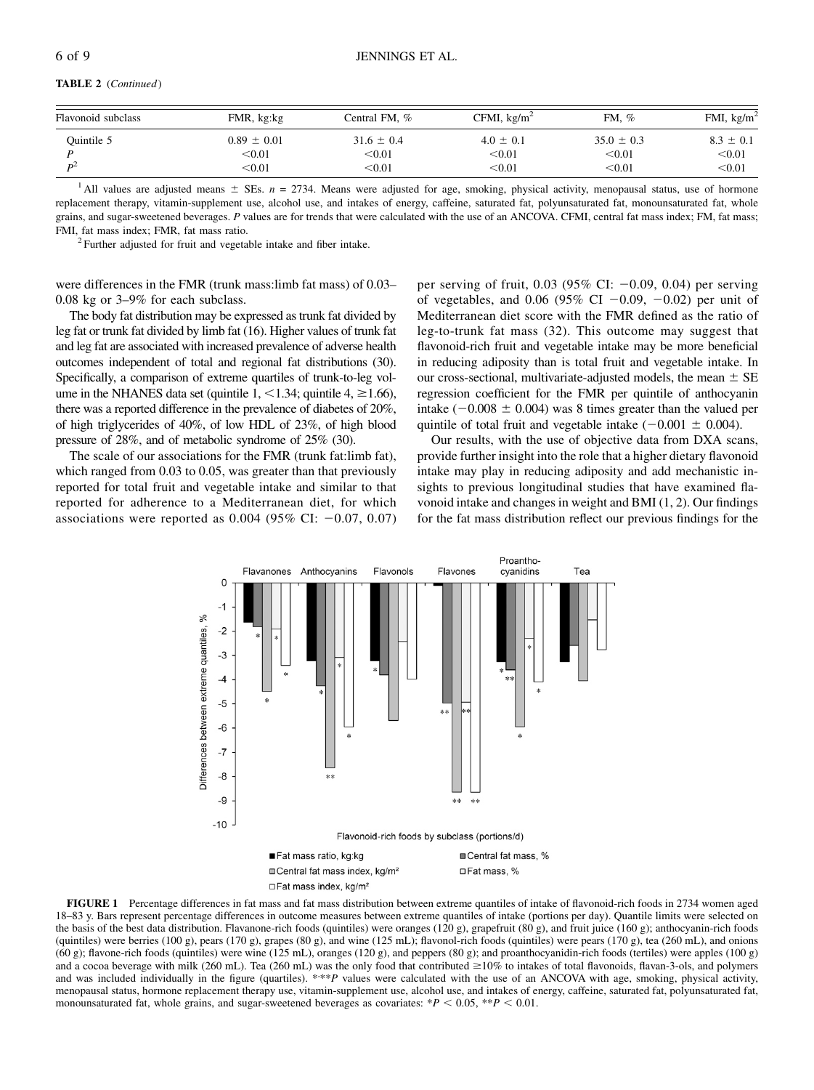| Flavonoid subclass           | FMR, kg:kg                          | Central FM, %                      | CFMI, $kg/m^2$                    | FM. %                              | FMI, $\text{kg/m}^2$              |
|------------------------------|-------------------------------------|------------------------------------|-----------------------------------|------------------------------------|-----------------------------------|
| Quintile 5<br>n <sup>2</sup> | $0.89 \pm 0.01$<br>< 0.01<br>< 0.01 | $31.6 \pm 0.4$<br>< 0.01<br>< 0.01 | $4.0 \pm 0.1$<br>< 0.01<br>< 0.01 | $35.0 \pm 0.3$<br>< 0.01<br>< 0.01 | $8.3 \pm 0.1$<br>< 0.01<br>< 0.01 |

TABLE 2 (Continued)

<sup>1</sup> All values are adjusted means  $\pm$  SEs.  $n = 2734$ . Means were adjusted for age, smoking, physical activity, menopausal status, use of hormone replacement therapy, vitamin-supplement use, alcohol use, and intakes of energy, caffeine, saturated fat, polyunsaturated fat, monounsaturated fat, whole grains, and sugar-sweetened beverages. P values are for trends that were calculated with the use of an ANCOVA. CFMI, central fat mass index; FM, fat mass; FMI, fat mass index; FMR, fat mass ratio.

 $2$  Further adjusted for fruit and vegetable intake and fiber intake.

were differences in the FMR (trunk mass:limb fat mass) of 0.03– 0.08 kg or 3–9% for each subclass.

The body fat distribution may be expressed as trunk fat divided by leg fat or trunk fat divided by limb fat (16). Higher values of trunk fat and leg fat are associated with increased prevalence of adverse health outcomes independent of total and regional fat distributions (30). Specifically, a comparison of extreme quartiles of trunk-to-leg volume in the NHANES data set (quintile 1,  $\leq$ 1.34; quintile 4,  $\geq$ 1.66), there was a reported difference in the prevalence of diabetes of 20%, of high triglycerides of 40%, of low HDL of 23%, of high blood pressure of 28%, and of metabolic syndrome of 25% (30).

The scale of our associations for the FMR (trunk fat:limb fat), which ranged from 0.03 to 0.05, was greater than that previously reported for total fruit and vegetable intake and similar to that reported for adherence to a Mediterranean diet, for which associations were reported as 0.004 (95% CI:  $-0.07$ , 0.07)

per serving of fruit,  $0.03$  (95% CI:  $-0.09$ , 0.04) per serving of vegetables, and 0.06 (95% CI  $-0.09$ ,  $-0.02$ ) per unit of Mediterranean diet score with the FMR defined as the ratio of leg-to-trunk fat mass (32). This outcome may suggest that flavonoid-rich fruit and vegetable intake may be more beneficial in reducing adiposity than is total fruit and vegetable intake. In our cross-sectional, multivariate-adjusted models, the mean  $\pm$  SE regression coefficient for the FMR per quintile of anthocyanin intake ( $-0.008 \pm 0.004$ ) was 8 times greater than the valued per quintile of total fruit and vegetable intake  $(-0.001 \pm 0.004)$ .

Our results, with the use of objective data from DXA scans, provide further insight into the role that a higher dietary flavonoid intake may play in reducing adiposity and add mechanistic insights to previous longitudinal studies that have examined flavonoid intake and changes in weight and BMI (1, 2). Our findings for the fat mass distribution reflect our previous findings for the



FIGURE 1 Percentage differences in fat mass and fat mass distribution between extreme quantiles of intake of flavonoid-rich foods in 2734 women aged 18–83 y. Bars represent percentage differences in outcome measures between extreme quantiles of intake (portions per day). Quantile limits were selected on the basis of the best data distribution. Flavanone-rich foods (quintiles) were oranges (120 g), grapefruit (80 g), and fruit juice (160 g); anthocyanin-rich foods (quintiles) were berries (100 g), pears (170 g), grapes (80 g), and wine (125 mL); flavonol-rich foods (quintiles) were pears (170 g), tea (260 mL), and onions (60 g); flavone-rich foods (quintiles) were wine (125 mL), oranges (120 g), and peppers (80 g); and proanthocyanidin-rich foods (tertiles) were apples (100 g) and a cocoa beverage with milk (260 mL). Tea (260 mL) was the only food that contributed  $\geq$ 10% to intakes of total flavonoids, flavan-3-ols, and polymers and was included individually in the figure (quartiles). \*\*\*P values were calculated with the use of an ANCOVA with age, smoking, physical activity, menopausal status, hormone replacement therapy use, vitamin-supplement use, alcohol use, and intakes of energy, caffeine, saturated fat, polyunsaturated fat, monounsaturated fat, whole grains, and sugar-sweetened beverages as covariates:  $*P < 0.05$ ,  $*P < 0.01$ .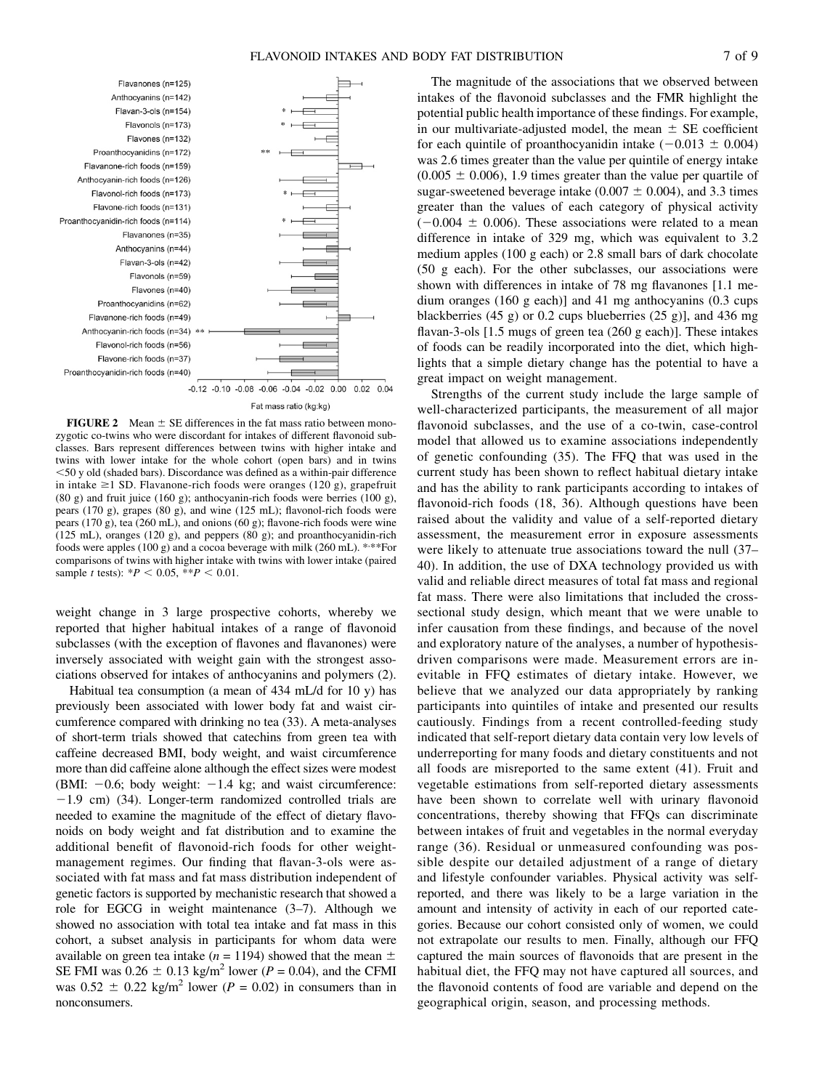



Fat mass ratio (kg:kg)

**FIGURE 2** Mean  $\pm$  SE differences in the fat mass ratio between monozygotic co-twins who were discordant for intakes of different flavonoid subclasses. Bars represent differences between twins with higher intake and twins with lower intake for the whole cohort (open bars) and in twins  $<$  50 y old (shaded bars). Discordance was defined as a within-pair difference in intake  $\geq$ 1 SD. Flavanone-rich foods were oranges (120 g), grapefruit (80 g) and fruit juice (160 g); anthocyanin-rich foods were berries (100 g), pears (170 g), grapes (80 g), and wine (125 mL); flavonol-rich foods were pears (170 g), tea (260 mL), and onions (60 g); flavone-rich foods were wine (125 mL), oranges (120 g), and peppers (80 g); and proanthocyanidin-rich foods were apples  $(100 \text{ g})$  and a cocoa beverage with milk  $(260 \text{ mL})$ . \*\*\*For comparisons of twins with higher intake with twins with lower intake (paired sample t tests):  $*P < 0.05$ ,  $*P < 0.01$ .

weight change in 3 large prospective cohorts, whereby we reported that higher habitual intakes of a range of flavonoid subclasses (with the exception of flavones and flavanones) were inversely associated with weight gain with the strongest associations observed for intakes of anthocyanins and polymers (2).

Habitual tea consumption (a mean of 434 mL/d for 10 y) has previously been associated with lower body fat and waist circumference compared with drinking no tea (33). A meta-analyses of short-term trials showed that catechins from green tea with caffeine decreased BMI, body weight, and waist circumference more than did caffeine alone although the effect sizes were modest (BMI:  $-0.6$ ; body weight:  $-1.4$  kg; and waist circumference:  $-1.9$  cm) (34). Longer-term randomized controlled trials are needed to examine the magnitude of the effect of dietary flavonoids on body weight and fat distribution and to examine the additional benefit of flavonoid-rich foods for other weightmanagement regimes. Our finding that flavan-3-ols were associated with fat mass and fat mass distribution independent of genetic factors is supported by mechanistic research that showed a role for EGCG in weight maintenance (3–7). Although we showed no association with total tea intake and fat mass in this cohort, a subset analysis in participants for whom data were available on green tea intake ( $n = 1194$ ) showed that the mean  $\pm$ SE FMI was  $0.26 \pm 0.13$  kg/m<sup>2</sup> lower ( $P = 0.04$ ), and the CFMI was  $0.52 \pm 0.22$  kg/m<sup>2</sup> lower (P = 0.02) in consumers than in nonconsumers.

The magnitude of the associations that we observed between intakes of the flavonoid subclasses and the FMR highlight the potential public health importance of these findings. For example, in our multivariate-adjusted model, the mean  $\pm$  SE coefficient for each quintile of proanthocyanidin intake  $(-0.013 \pm 0.004)$ was 2.6 times greater than the value per quintile of energy intake  $(0.005 \pm 0.006)$ , 1.9 times greater than the value per quartile of sugar-sweetened beverage intake (0.007  $\pm$  0.004), and 3.3 times greater than the values of each category of physical activity  $(-0.004 \pm 0.006)$ . These associations were related to a mean difference in intake of 329 mg, which was equivalent to 3.2 medium apples (100 g each) or 2.8 small bars of dark chocolate (50 g each). For the other subclasses, our associations were shown with differences in intake of 78 mg flavanones [1.1 medium oranges (160 g each)] and 41 mg anthocyanins (0.3 cups blackberries (45 g) or 0.2 cups blueberries (25 g)], and 436 mg flavan-3-ols [1.5 mugs of green tea (260 g each)]. These intakes of foods can be readily incorporated into the diet, which highlights that a simple dietary change has the potential to have a great impact on weight management.

Strengths of the current study include the large sample of well-characterized participants, the measurement of all major flavonoid subclasses, and the use of a co-twin, case-control model that allowed us to examine associations independently of genetic confounding (35). The FFQ that was used in the current study has been shown to reflect habitual dietary intake and has the ability to rank participants according to intakes of flavonoid-rich foods (18, 36). Although questions have been raised about the validity and value of a self-reported dietary assessment, the measurement error in exposure assessments were likely to attenuate true associations toward the null (37– 40). In addition, the use of DXA technology provided us with valid and reliable direct measures of total fat mass and regional fat mass. There were also limitations that included the crosssectional study design, which meant that we were unable to infer causation from these findings, and because of the novel and exploratory nature of the analyses, a number of hypothesisdriven comparisons were made. Measurement errors are inevitable in FFQ estimates of dietary intake. However, we believe that we analyzed our data appropriately by ranking participants into quintiles of intake and presented our results cautiously. Findings from a recent controlled-feeding study indicated that self-report dietary data contain very low levels of underreporting for many foods and dietary constituents and not all foods are misreported to the same extent (41). Fruit and vegetable estimations from self-reported dietary assessments have been shown to correlate well with urinary flavonoid concentrations, thereby showing that FFQs can discriminate between intakes of fruit and vegetables in the normal everyday range (36). Residual or unmeasured confounding was possible despite our detailed adjustment of a range of dietary and lifestyle confounder variables. Physical activity was selfreported, and there was likely to be a large variation in the amount and intensity of activity in each of our reported categories. Because our cohort consisted only of women, we could not extrapolate our results to men. Finally, although our FFQ captured the main sources of flavonoids that are present in the habitual diet, the FFQ may not have captured all sources, and the flavonoid contents of food are variable and depend on the geographical origin, season, and processing methods.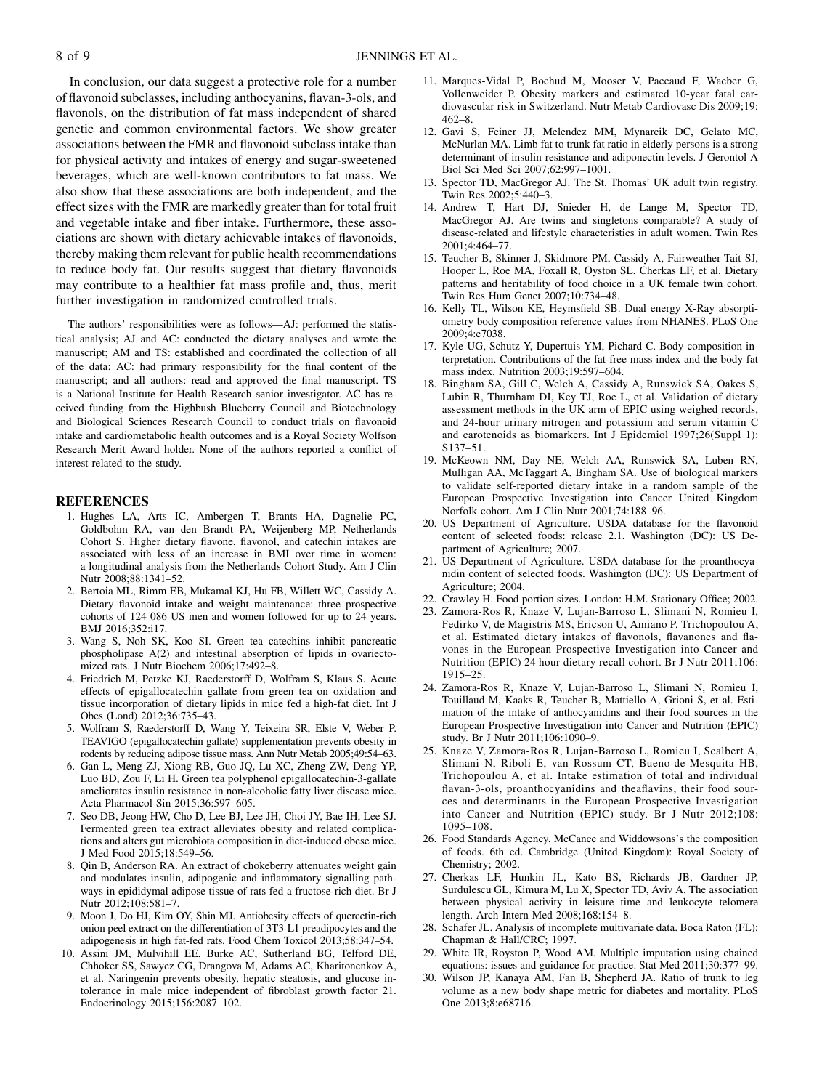In conclusion, our data suggest a protective role for a number of flavonoid subclasses, including anthocyanins, flavan-3-ols, and flavonols, on the distribution of fat mass independent of shared genetic and common environmental factors. We show greater associations between the FMR and flavonoid subclass intake than for physical activity and intakes of energy and sugar-sweetened beverages, which are well-known contributors to fat mass. We also show that these associations are both independent, and the effect sizes with the FMR are markedly greater than for total fruit and vegetable intake and fiber intake. Furthermore, these associations are shown with dietary achievable intakes of flavonoids, thereby making them relevant for public health recommendations to reduce body fat. Our results suggest that dietary flavonoids may contribute to a healthier fat mass profile and, thus, merit further investigation in randomized controlled trials.

The authors' responsibilities were as follows—AJ: performed the statistical analysis; AJ and AC: conducted the dietary analyses and wrote the manuscript; AM and TS: established and coordinated the collection of all of the data; AC: had primary responsibility for the final content of the manuscript; and all authors: read and approved the final manuscript. TS is a National Institute for Health Research senior investigator. AC has received funding from the Highbush Blueberry Council and Biotechnology and Biological Sciences Research Council to conduct trials on flavonoid intake and cardiometabolic health outcomes and is a Royal Society Wolfson Research Merit Award holder. None of the authors reported a conflict of interest related to the study.

#### REFERENCES

- 1. Hughes LA, Arts IC, Ambergen T, Brants HA, Dagnelie PC, Goldbohm RA, van den Brandt PA, Weijenberg MP, Netherlands Cohort S. Higher dietary flavone, flavonol, and catechin intakes are associated with less of an increase in BMI over time in women: a longitudinal analysis from the Netherlands Cohort Study. Am J Clin Nutr 2008;88:1341–52.
- 2. Bertoia ML, Rimm EB, Mukamal KJ, Hu FB, Willett WC, Cassidy A. Dietary flavonoid intake and weight maintenance: three prospective cohorts of 124 086 US men and women followed for up to 24 years. BMJ 2016;352:i17.
- 3. Wang S, Noh SK, Koo SI. Green tea catechins inhibit pancreatic phospholipase A(2) and intestinal absorption of lipids in ovariectomized rats. J Nutr Biochem 2006;17:492–8.
- 4. Friedrich M, Petzke KJ, Raederstorff D, Wolfram S, Klaus S. Acute effects of epigallocatechin gallate from green tea on oxidation and tissue incorporation of dietary lipids in mice fed a high-fat diet. Int J Obes (Lond) 2012;36:735–43.
- 5. Wolfram S, Raederstorff D, Wang Y, Teixeira SR, Elste V, Weber P. TEAVIGO (epigallocatechin gallate) supplementation prevents obesity in rodents by reducing adipose tissue mass. Ann Nutr Metab 2005;49:54–63.
- 6. Gan L, Meng ZJ, Xiong RB, Guo JQ, Lu XC, Zheng ZW, Deng YP, Luo BD, Zou F, Li H. Green tea polyphenol epigallocatechin-3-gallate ameliorates insulin resistance in non-alcoholic fatty liver disease mice. Acta Pharmacol Sin 2015;36:597–605.
- 7. Seo DB, Jeong HW, Cho D, Lee BJ, Lee JH, Choi JY, Bae IH, Lee SJ. Fermented green tea extract alleviates obesity and related complications and alters gut microbiota composition in diet-induced obese mice. J Med Food 2015;18:549–56.
- 8. Qin B, Anderson RA. An extract of chokeberry attenuates weight gain and modulates insulin, adipogenic and inflammatory signalling pathways in epididymal adipose tissue of rats fed a fructose-rich diet. Br J Nutr 2012;108:581–7.
- 9. Moon J, Do HJ, Kim OY, Shin MJ. Antiobesity effects of quercetin-rich onion peel extract on the differentiation of 3T3-L1 preadipocytes and the adipogenesis in high fat-fed rats. Food Chem Toxicol 2013;58:347–54.
- 10. Assini JM, Mulvihill EE, Burke AC, Sutherland BG, Telford DE, Chhoker SS, Sawyez CG, Drangova M, Adams AC, Kharitonenkov A, et al. Naringenin prevents obesity, hepatic steatosis, and glucose intolerance in male mice independent of fibroblast growth factor 21. Endocrinology 2015;156:2087–102.
- 11. Marques-Vidal P, Bochud M, Mooser V, Paccaud F, Waeber G, Vollenweider P. Obesity markers and estimated 10-year fatal cardiovascular risk in Switzerland. Nutr Metab Cardiovasc Dis 2009;19: 462–8.
- 12. Gavi S, Feiner JJ, Melendez MM, Mynarcik DC, Gelato MC, McNurlan MA. Limb fat to trunk fat ratio in elderly persons is a strong determinant of insulin resistance and adiponectin levels. J Gerontol A Biol Sci Med Sci 2007;62:997–1001.
- 13. Spector TD, MacGregor AJ. The St. Thomas' UK adult twin registry. Twin Res 2002;5:440–3.
- 14. Andrew T, Hart DJ, Snieder H, de Lange M, Spector TD, MacGregor AJ. Are twins and singletons comparable? A study of disease-related and lifestyle characteristics in adult women. Twin Res 2001;4:464–77.
- 15. Teucher B, Skinner J, Skidmore PM, Cassidy A, Fairweather-Tait SJ, Hooper L, Roe MA, Foxall R, Oyston SL, Cherkas LF, et al. Dietary patterns and heritability of food choice in a UK female twin cohort. Twin Res Hum Genet 2007;10:734–48.
- 16. Kelly TL, Wilson KE, Heymsfield SB. Dual energy X-Ray absorptiometry body composition reference values from NHANES. PLoS One 2009;4:e7038.
- 17. Kyle UG, Schutz Y, Dupertuis YM, Pichard C. Body composition interpretation. Contributions of the fat-free mass index and the body fat mass index. Nutrition 2003;19:597–604.
- 18. Bingham SA, Gill C, Welch A, Cassidy A, Runswick SA, Oakes S, Lubin R, Thurnham DI, Key TJ, Roe L, et al. Validation of dietary assessment methods in the UK arm of EPIC using weighed records, and 24-hour urinary nitrogen and potassium and serum vitamin C and carotenoids as biomarkers. Int J Epidemiol 1997;26(Suppl 1): S137–51.
- 19. McKeown NM, Day NE, Welch AA, Runswick SA, Luben RN, Mulligan AA, McTaggart A, Bingham SA. Use of biological markers to validate self-reported dietary intake in a random sample of the European Prospective Investigation into Cancer United Kingdom Norfolk cohort. Am J Clin Nutr 2001;74:188–96.
- 20. US Department of Agriculture. USDA database for the flavonoid content of selected foods: release 2.1. Washington (DC): US Department of Agriculture; 2007.
- 21. US Department of Agriculture. USDA database for the proanthocyanidin content of selected foods. Washington (DC): US Department of Agriculture; 2004.
- 22. Crawley H. Food portion sizes. London: H.M. Stationary Office; 2002.
- 23. Zamora-Ros R, Knaze V, Lujan-Barroso L, Slimani N, Romieu I, Fedirko V, de Magistris MS, Ericson U, Amiano P, Trichopoulou A, et al. Estimated dietary intakes of flavonols, flavanones and flavones in the European Prospective Investigation into Cancer and Nutrition (EPIC) 24 hour dietary recall cohort. Br J Nutr 2011;106: 1915–25.
- 24. Zamora-Ros R, Knaze V, Lujan-Barroso L, Slimani N, Romieu I, Touillaud M, Kaaks R, Teucher B, Mattiello A, Grioni S, et al. Estimation of the intake of anthocyanidins and their food sources in the European Prospective Investigation into Cancer and Nutrition (EPIC) study. Br J Nutr 2011;106:1090–9.
- 25. Knaze V, Zamora-Ros R, Lujan-Barroso L, Romieu I, Scalbert A, Slimani N, Riboli E, van Rossum CT, Bueno-de-Mesquita HB, Trichopoulou A, et al. Intake estimation of total and individual flavan-3-ols, proanthocyanidins and theaflavins, their food sources and determinants in the European Prospective Investigation into Cancer and Nutrition (EPIC) study. Br J Nutr 2012;108: 1095–108.
- 26. Food Standards Agency. McCance and Widdowsons's the composition of foods. 6th ed. Cambridge (United Kingdom): Royal Society of Chemistry; 2002.
- 27. Cherkas LF, Hunkin JL, Kato BS, Richards JB, Gardner JP, Surdulescu GL, Kimura M, Lu X, Spector TD, Aviv A. The association between physical activity in leisure time and leukocyte telomere length. Arch Intern Med 2008;168:154–8.
- 28. Schafer JL. Analysis of incomplete multivariate data. Boca Raton (FL): Chapman & Hall/CRC; 1997.
- 29. White IR, Royston P, Wood AM. Multiple imputation using chained equations: issues and guidance for practice. Stat Med 2011;30:377–99.
- 30. Wilson JP, Kanaya AM, Fan B, Shepherd JA. Ratio of trunk to leg volume as a new body shape metric for diabetes and mortality. PLoS One 2013;8:e68716.